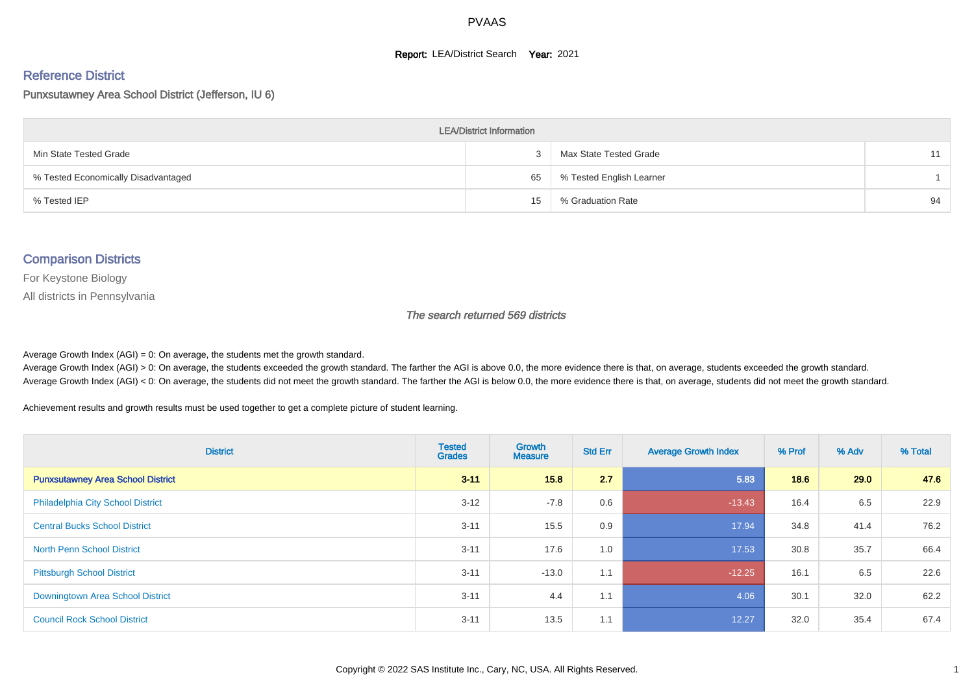#### **Report: LEA/District Search Year: 2021**

#### Reference District

## Punxsutawney Area School District (Jefferson, IU 6)

| <b>LEA/District Information</b>     |    |                          |    |  |  |  |  |  |  |  |
|-------------------------------------|----|--------------------------|----|--|--|--|--|--|--|--|
| Min State Tested Grade              |    | Max State Tested Grade   | 11 |  |  |  |  |  |  |  |
| % Tested Economically Disadvantaged | 65 | % Tested English Learner |    |  |  |  |  |  |  |  |
| % Tested IEP                        | 15 | % Graduation Rate        | 94 |  |  |  |  |  |  |  |

#### Comparison Districts

For Keystone Biology

All districts in Pennsylvania

The search returned 569 districts

Average Growth Index  $(AGI) = 0$ : On average, the students met the growth standard.

Average Growth Index (AGI) > 0: On average, the students exceeded the growth standard. The farther the AGI is above 0.0, the more evidence there is that, on average, students exceeded the growth standard. Average Growth Index (AGI) < 0: On average, the students did not meet the growth standard. The farther the AGI is below 0.0, the more evidence there is that, on average, students did not meet the growth standard.

Achievement results and growth results must be used together to get a complete picture of student learning.

| <b>District</b>                          | <b>Tested</b><br><b>Grades</b> | <b>Growth</b><br><b>Measure</b> | <b>Std Err</b> | <b>Average Growth Index</b> | % Prof | % Adv | % Total |
|------------------------------------------|--------------------------------|---------------------------------|----------------|-----------------------------|--------|-------|---------|
| <b>Punxsutawney Area School District</b> | $3 - 11$                       | 15.8                            | 2.7            | 5.83                        | 18.6   | 29.0  | 47.6    |
| <b>Philadelphia City School District</b> | $3 - 12$                       | $-7.8$                          | 0.6            | $-13.43$                    | 16.4   | 6.5   | 22.9    |
| <b>Central Bucks School District</b>     | $3 - 11$                       | 15.5                            | 0.9            | 17.94                       | 34.8   | 41.4  | 76.2    |
| <b>North Penn School District</b>        | $3 - 11$                       | 17.6                            | 1.0            | 17.53                       | 30.8   | 35.7  | 66.4    |
| <b>Pittsburgh School District</b>        | $3 - 11$                       | $-13.0$                         | 1.1            | $-12.25$                    | 16.1   | 6.5   | 22.6    |
| Downingtown Area School District         | $3 - 11$                       | 4.4                             | 1.1            | 4.06                        | 30.1   | 32.0  | 62.2    |
| <b>Council Rock School District</b>      | $3 - 11$                       | 13.5                            | 1.1            | 12.27                       | 32.0   | 35.4  | 67.4    |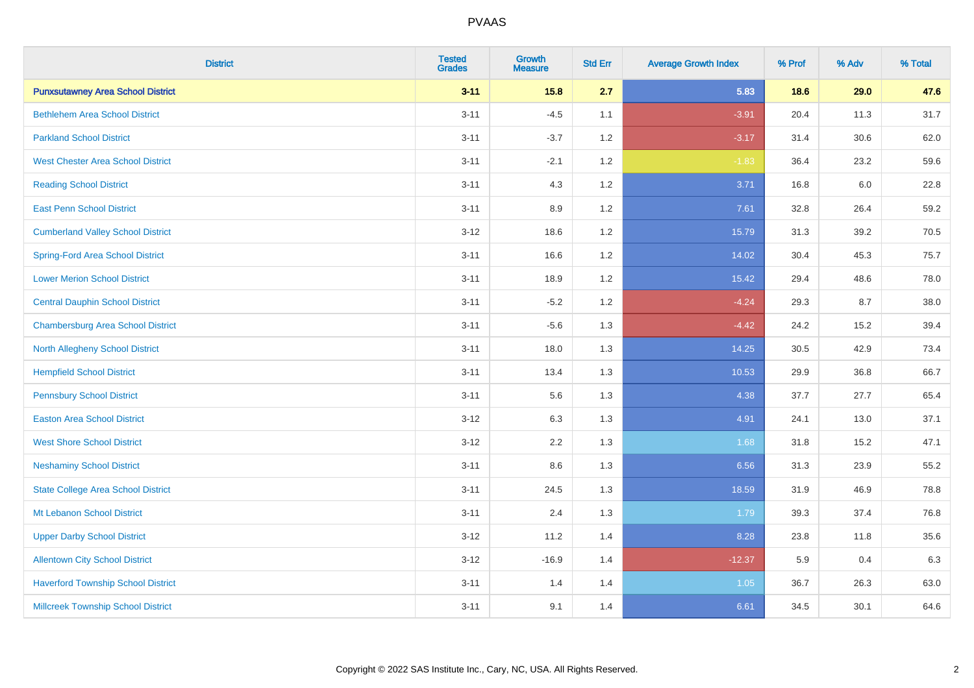| <b>District</b>                           | <b>Tested</b><br><b>Grades</b> | <b>Growth</b><br><b>Measure</b> | <b>Std Err</b> | <b>Average Growth Index</b> | % Prof | % Adv | % Total |
|-------------------------------------------|--------------------------------|---------------------------------|----------------|-----------------------------|--------|-------|---------|
| <b>Punxsutawney Area School District</b>  | $3 - 11$                       | 15.8                            | 2.7            | 5.83                        | 18.6   | 29.0  | 47.6    |
| <b>Bethlehem Area School District</b>     | $3 - 11$                       | $-4.5$                          | 1.1            | $-3.91$                     | 20.4   | 11.3  | 31.7    |
| <b>Parkland School District</b>           | $3 - 11$                       | $-3.7$                          | 1.2            | $-3.17$                     | 31.4   | 30.6  | 62.0    |
| <b>West Chester Area School District</b>  | $3 - 11$                       | $-2.1$                          | 1.2            | $-1.83$                     | 36.4   | 23.2  | 59.6    |
| <b>Reading School District</b>            | $3 - 11$                       | 4.3                             | 1.2            | 3.71                        | 16.8   | 6.0   | 22.8    |
| <b>East Penn School District</b>          | $3 - 11$                       | 8.9                             | 1.2            | 7.61                        | 32.8   | 26.4  | 59.2    |
| <b>Cumberland Valley School District</b>  | $3 - 12$                       | 18.6                            | 1.2            | 15.79                       | 31.3   | 39.2  | 70.5    |
| <b>Spring-Ford Area School District</b>   | $3 - 11$                       | 16.6                            | 1.2            | 14.02                       | 30.4   | 45.3  | 75.7    |
| <b>Lower Merion School District</b>       | $3 - 11$                       | 18.9                            | 1.2            | 15.42                       | 29.4   | 48.6  | 78.0    |
| <b>Central Dauphin School District</b>    | $3 - 11$                       | $-5.2$                          | 1.2            | $-4.24$                     | 29.3   | 8.7   | 38.0    |
| <b>Chambersburg Area School District</b>  | $3 - 11$                       | $-5.6$                          | 1.3            | $-4.42$                     | 24.2   | 15.2  | 39.4    |
| <b>North Allegheny School District</b>    | $3 - 11$                       | 18.0                            | 1.3            | 14.25                       | 30.5   | 42.9  | 73.4    |
| <b>Hempfield School District</b>          | $3 - 11$                       | 13.4                            | 1.3            | 10.53                       | 29.9   | 36.8  | 66.7    |
| <b>Pennsbury School District</b>          | $3 - 11$                       | 5.6                             | 1.3            | 4.38                        | 37.7   | 27.7  | 65.4    |
| <b>Easton Area School District</b>        | $3 - 12$                       | 6.3                             | 1.3            | 4.91                        | 24.1   | 13.0  | 37.1    |
| <b>West Shore School District</b>         | $3 - 12$                       | 2.2                             | 1.3            | 1.68                        | 31.8   | 15.2  | 47.1    |
| <b>Neshaminy School District</b>          | $3 - 11$                       | $8.6\,$                         | 1.3            | 6.56                        | 31.3   | 23.9  | 55.2    |
| <b>State College Area School District</b> | $3 - 11$                       | 24.5                            | 1.3            | 18.59                       | 31.9   | 46.9  | 78.8    |
| Mt Lebanon School District                | $3 - 11$                       | 2.4                             | 1.3            | 1.79                        | 39.3   | 37.4  | 76.8    |
| <b>Upper Darby School District</b>        | $3 - 12$                       | 11.2                            | 1.4            | 8.28                        | 23.8   | 11.8  | 35.6    |
| <b>Allentown City School District</b>     | $3 - 12$                       | $-16.9$                         | 1.4            | $-12.37$                    | 5.9    | 0.4   | 6.3     |
| <b>Haverford Township School District</b> | $3 - 11$                       | 1.4                             | 1.4            | 1.05                        | 36.7   | 26.3  | 63.0    |
| <b>Millcreek Township School District</b> | $3 - 11$                       | 9.1                             | 1.4            | 6.61                        | 34.5   | 30.1  | 64.6    |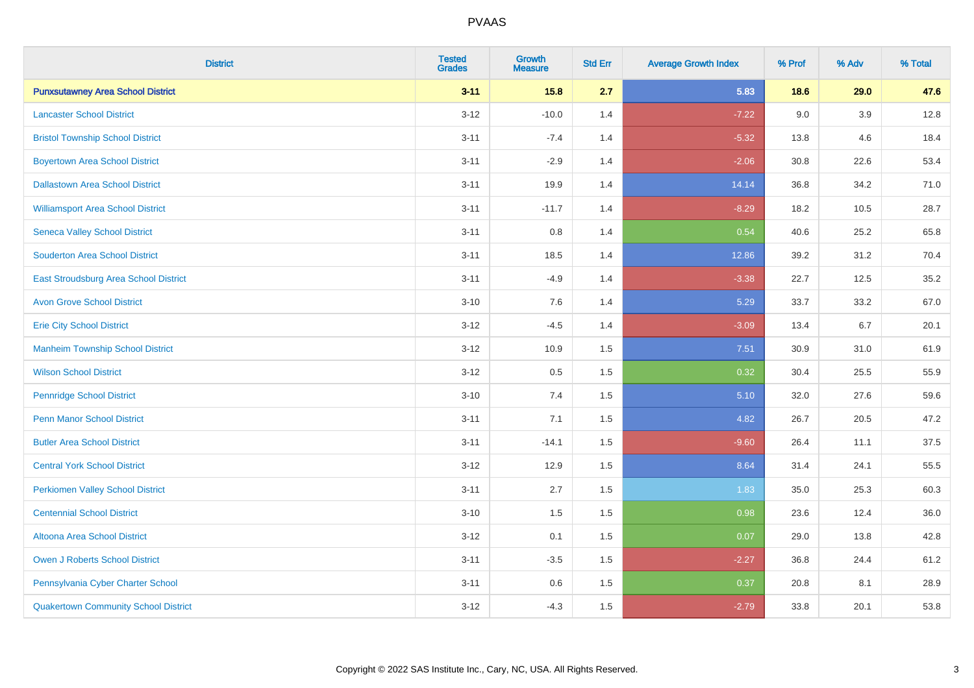| <b>District</b>                             | <b>Tested</b><br><b>Grades</b> | <b>Growth</b><br><b>Measure</b> | <b>Std Err</b> | <b>Average Growth Index</b> | % Prof | % Adv | % Total |
|---------------------------------------------|--------------------------------|---------------------------------|----------------|-----------------------------|--------|-------|---------|
| <b>Punxsutawney Area School District</b>    | $3 - 11$                       | 15.8                            | 2.7            | 5.83                        | 18.6   | 29.0  | 47.6    |
| <b>Lancaster School District</b>            | $3 - 12$                       | $-10.0$                         | 1.4            | $-7.22$                     | 9.0    | 3.9   | 12.8    |
| <b>Bristol Township School District</b>     | $3 - 11$                       | $-7.4$                          | 1.4            | $-5.32$                     | 13.8   | 4.6   | 18.4    |
| <b>Boyertown Area School District</b>       | $3 - 11$                       | $-2.9$                          | 1.4            | $-2.06$                     | 30.8   | 22.6  | 53.4    |
| <b>Dallastown Area School District</b>      | $3 - 11$                       | 19.9                            | 1.4            | 14.14                       | 36.8   | 34.2  | 71.0    |
| <b>Williamsport Area School District</b>    | $3 - 11$                       | $-11.7$                         | 1.4            | $-8.29$                     | 18.2   | 10.5  | 28.7    |
| <b>Seneca Valley School District</b>        | $3 - 11$                       | $0.8\,$                         | 1.4            | 0.54                        | 40.6   | 25.2  | 65.8    |
| <b>Souderton Area School District</b>       | $3 - 11$                       | 18.5                            | 1.4            | 12.86                       | 39.2   | 31.2  | 70.4    |
| East Stroudsburg Area School District       | $3 - 11$                       | $-4.9$                          | 1.4            | $-3.38$                     | 22.7   | 12.5  | 35.2    |
| <b>Avon Grove School District</b>           | $3 - 10$                       | 7.6                             | 1.4            | 5.29                        | 33.7   | 33.2  | 67.0    |
| <b>Erie City School District</b>            | $3-12$                         | $-4.5$                          | 1.4            | $-3.09$                     | 13.4   | 6.7   | 20.1    |
| <b>Manheim Township School District</b>     | $3 - 12$                       | 10.9                            | 1.5            | 7.51                        | 30.9   | 31.0  | 61.9    |
| <b>Wilson School District</b>               | $3 - 12$                       | $0.5\,$                         | 1.5            | 0.32                        | 30.4   | 25.5  | 55.9    |
| <b>Pennridge School District</b>            | $3 - 10$                       | 7.4                             | 1.5            | 5.10                        | 32.0   | 27.6  | 59.6    |
| <b>Penn Manor School District</b>           | $3 - 11$                       | 7.1                             | 1.5            | 4.82                        | 26.7   | 20.5  | 47.2    |
| <b>Butler Area School District</b>          | $3 - 11$                       | $-14.1$                         | 1.5            | $-9.60$                     | 26.4   | 11.1  | 37.5    |
| <b>Central York School District</b>         | $3-12$                         | 12.9                            | 1.5            | 8.64                        | 31.4   | 24.1  | 55.5    |
| <b>Perkiomen Valley School District</b>     | $3 - 11$                       | 2.7                             | 1.5            | 1.83                        | 35.0   | 25.3  | 60.3    |
| <b>Centennial School District</b>           | $3 - 10$                       | 1.5                             | 1.5            | 0.98                        | 23.6   | 12.4  | 36.0    |
| <b>Altoona Area School District</b>         | $3 - 12$                       | 0.1                             | 1.5            | 0.07                        | 29.0   | 13.8  | 42.8    |
| Owen J Roberts School District              | $3 - 11$                       | $-3.5$                          | 1.5            | $-2.27$                     | 36.8   | 24.4  | 61.2    |
| Pennsylvania Cyber Charter School           | $3 - 11$                       | 0.6                             | 1.5            | 0.37                        | 20.8   | 8.1   | 28.9    |
| <b>Quakertown Community School District</b> | $3 - 12$                       | $-4.3$                          | 1.5            | $-2.79$                     | 33.8   | 20.1  | 53.8    |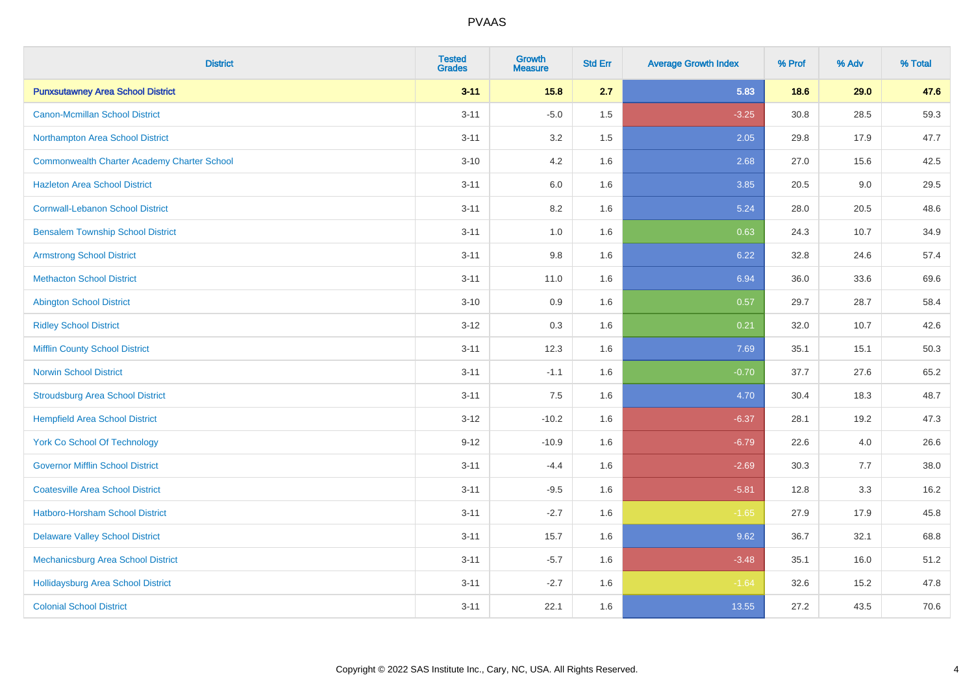| <b>District</b>                                    | <b>Tested</b><br><b>Grades</b> | <b>Growth</b><br><b>Measure</b> | <b>Std Err</b> | <b>Average Growth Index</b> | % Prof | % Adv | % Total |
|----------------------------------------------------|--------------------------------|---------------------------------|----------------|-----------------------------|--------|-------|---------|
| <b>Punxsutawney Area School District</b>           | $3 - 11$                       | 15.8                            | 2.7            | 5.83                        | 18.6   | 29.0  | 47.6    |
| <b>Canon-Mcmillan School District</b>              | $3 - 11$                       | $-5.0$                          | $1.5\,$        | $-3.25$                     | 30.8   | 28.5  | 59.3    |
| Northampton Area School District                   | $3 - 11$                       | 3.2                             | 1.5            | 2.05                        | 29.8   | 17.9  | 47.7    |
| <b>Commonwealth Charter Academy Charter School</b> | $3 - 10$                       | 4.2                             | 1.6            | 2.68                        | 27.0   | 15.6  | 42.5    |
| <b>Hazleton Area School District</b>               | $3 - 11$                       | 6.0                             | 1.6            | 3.85                        | 20.5   | 9.0   | 29.5    |
| <b>Cornwall-Lebanon School District</b>            | $3 - 11$                       | 8.2                             | 1.6            | 5.24                        | 28.0   | 20.5  | 48.6    |
| <b>Bensalem Township School District</b>           | $3 - 11$                       | 1.0                             | 1.6            | 0.63                        | 24.3   | 10.7  | 34.9    |
| <b>Armstrong School District</b>                   | $3 - 11$                       | $9.8\,$                         | 1.6            | 6.22                        | 32.8   | 24.6  | 57.4    |
| <b>Methacton School District</b>                   | $3 - 11$                       | 11.0                            | 1.6            | 6.94                        | 36.0   | 33.6  | 69.6    |
| <b>Abington School District</b>                    | $3 - 10$                       | 0.9                             | 1.6            | 0.57                        | 29.7   | 28.7  | 58.4    |
| <b>Ridley School District</b>                      | $3 - 12$                       | 0.3                             | 1.6            | 0.21                        | 32.0   | 10.7  | 42.6    |
| <b>Mifflin County School District</b>              | $3 - 11$                       | 12.3                            | 1.6            | 7.69                        | 35.1   | 15.1  | 50.3    |
| <b>Norwin School District</b>                      | $3 - 11$                       | $-1.1$                          | 1.6            | $-0.70$                     | 37.7   | 27.6  | 65.2    |
| <b>Stroudsburg Area School District</b>            | $3 - 11$                       | 7.5                             | 1.6            | 4.70                        | 30.4   | 18.3  | 48.7    |
| <b>Hempfield Area School District</b>              | $3 - 12$                       | $-10.2$                         | 1.6            | $-6.37$                     | 28.1   | 19.2  | 47.3    |
| <b>York Co School Of Technology</b>                | $9 - 12$                       | $-10.9$                         | 1.6            | $-6.79$                     | 22.6   | 4.0   | 26.6    |
| <b>Governor Mifflin School District</b>            | $3 - 11$                       | $-4.4$                          | 1.6            | $-2.69$                     | 30.3   | 7.7   | 38.0    |
| <b>Coatesville Area School District</b>            | $3 - 11$                       | $-9.5$                          | 1.6            | $-5.81$                     | 12.8   | 3.3   | 16.2    |
| <b>Hatboro-Horsham School District</b>             | $3 - 11$                       | $-2.7$                          | 1.6            | $-1.65$                     | 27.9   | 17.9  | 45.8    |
| <b>Delaware Valley School District</b>             | $3 - 11$                       | 15.7                            | 1.6            | 9.62                        | 36.7   | 32.1  | 68.8    |
| Mechanicsburg Area School District                 | $3 - 11$                       | $-5.7$                          | 1.6            | $-3.48$                     | 35.1   | 16.0  | 51.2    |
| <b>Hollidaysburg Area School District</b>          | $3 - 11$                       | $-2.7$                          | 1.6            | $-1.64$                     | 32.6   | 15.2  | 47.8    |
| <b>Colonial School District</b>                    | $3 - 11$                       | 22.1                            | 1.6            | 13.55                       | 27.2   | 43.5  | 70.6    |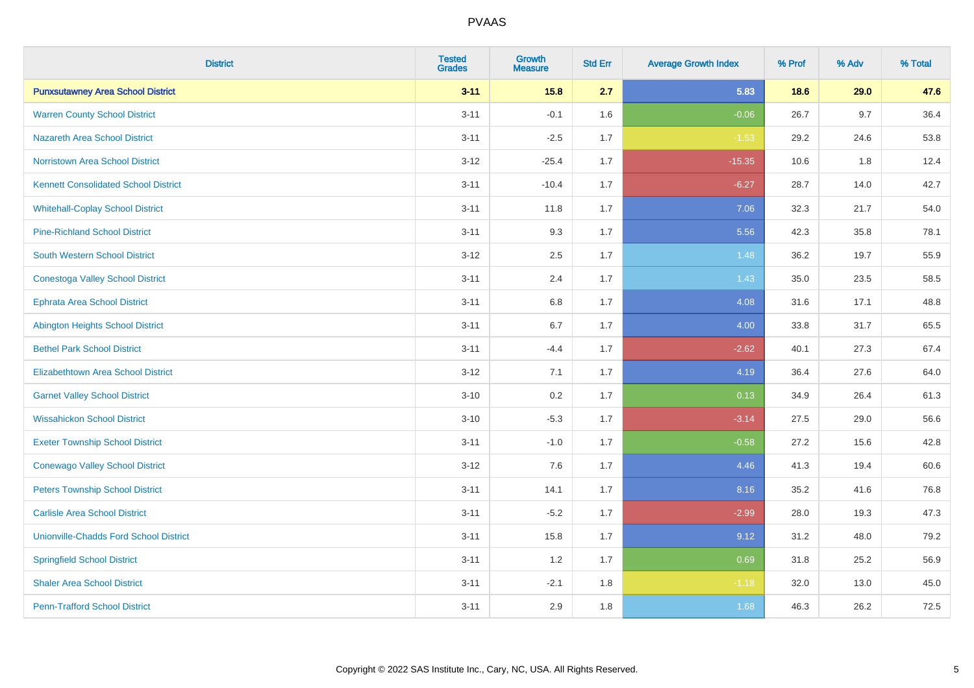| <b>District</b>                               | <b>Tested</b><br><b>Grades</b> | <b>Growth</b><br><b>Measure</b> | <b>Std Err</b> | <b>Average Growth Index</b> | % Prof | % Adv | % Total |
|-----------------------------------------------|--------------------------------|---------------------------------|----------------|-----------------------------|--------|-------|---------|
| <b>Punxsutawney Area School District</b>      | $3 - 11$                       | 15.8                            | 2.7            | 5.83                        | 18.6   | 29.0  | 47.6    |
| <b>Warren County School District</b>          | $3 - 11$                       | $-0.1$                          | 1.6            | $-0.06$                     | 26.7   | 9.7   | 36.4    |
| <b>Nazareth Area School District</b>          | $3 - 11$                       | $-2.5$                          | 1.7            | $-1.53$                     | 29.2   | 24.6  | 53.8    |
| <b>Norristown Area School District</b>        | $3 - 12$                       | $-25.4$                         | 1.7            | $-15.35$                    | 10.6   | 1.8   | 12.4    |
| <b>Kennett Consolidated School District</b>   | $3 - 11$                       | $-10.4$                         | 1.7            | $-6.27$                     | 28.7   | 14.0  | 42.7    |
| <b>Whitehall-Coplay School District</b>       | $3 - 11$                       | 11.8                            | 1.7            | 7.06                        | 32.3   | 21.7  | 54.0    |
| <b>Pine-Richland School District</b>          | $3 - 11$                       | 9.3                             | 1.7            | 5.56                        | 42.3   | 35.8  | 78.1    |
| <b>South Western School District</b>          | $3 - 12$                       | 2.5                             | 1.7            | 1.48                        | 36.2   | 19.7  | 55.9    |
| <b>Conestoga Valley School District</b>       | $3 - 11$                       | 2.4                             | 1.7            | 1.43                        | 35.0   | 23.5  | 58.5    |
| <b>Ephrata Area School District</b>           | $3 - 11$                       | 6.8                             | 1.7            | 4.08                        | 31.6   | 17.1  | 48.8    |
| <b>Abington Heights School District</b>       | $3 - 11$                       | 6.7                             | 1.7            | 4.00                        | 33.8   | 31.7  | 65.5    |
| <b>Bethel Park School District</b>            | $3 - 11$                       | $-4.4$                          | 1.7            | $-2.62$                     | 40.1   | 27.3  | 67.4    |
| <b>Elizabethtown Area School District</b>     | $3 - 12$                       | 7.1                             | 1.7            | 4.19                        | 36.4   | 27.6  | 64.0    |
| <b>Garnet Valley School District</b>          | $3 - 10$                       | 0.2                             | 1.7            | 0.13                        | 34.9   | 26.4  | 61.3    |
| <b>Wissahickon School District</b>            | $3 - 10$                       | $-5.3$                          | 1.7            | $-3.14$                     | 27.5   | 29.0  | 56.6    |
| <b>Exeter Township School District</b>        | $3 - 11$                       | $-1.0$                          | 1.7            | $-0.58$                     | 27.2   | 15.6  | 42.8    |
| <b>Conewago Valley School District</b>        | $3 - 12$                       | 7.6                             | 1.7            | 4.46                        | 41.3   | 19.4  | 60.6    |
| <b>Peters Township School District</b>        | $3 - 11$                       | 14.1                            | 1.7            | 8.16                        | 35.2   | 41.6  | 76.8    |
| <b>Carlisle Area School District</b>          | $3 - 11$                       | $-5.2$                          | 1.7            | $-2.99$                     | 28.0   | 19.3  | 47.3    |
| <b>Unionville-Chadds Ford School District</b> | $3 - 11$                       | 15.8                            | 1.7            | 9.12                        | 31.2   | 48.0  | 79.2    |
| <b>Springfield School District</b>            | $3 - 11$                       | 1.2                             | 1.7            | 0.69                        | 31.8   | 25.2  | 56.9    |
| <b>Shaler Area School District</b>            | $3 - 11$                       | $-2.1$                          | 1.8            | $-1.18$                     | 32.0   | 13.0  | 45.0    |
| <b>Penn-Trafford School District</b>          | $3 - 11$                       | 2.9                             | 1.8            | 1.68                        | 46.3   | 26.2  | 72.5    |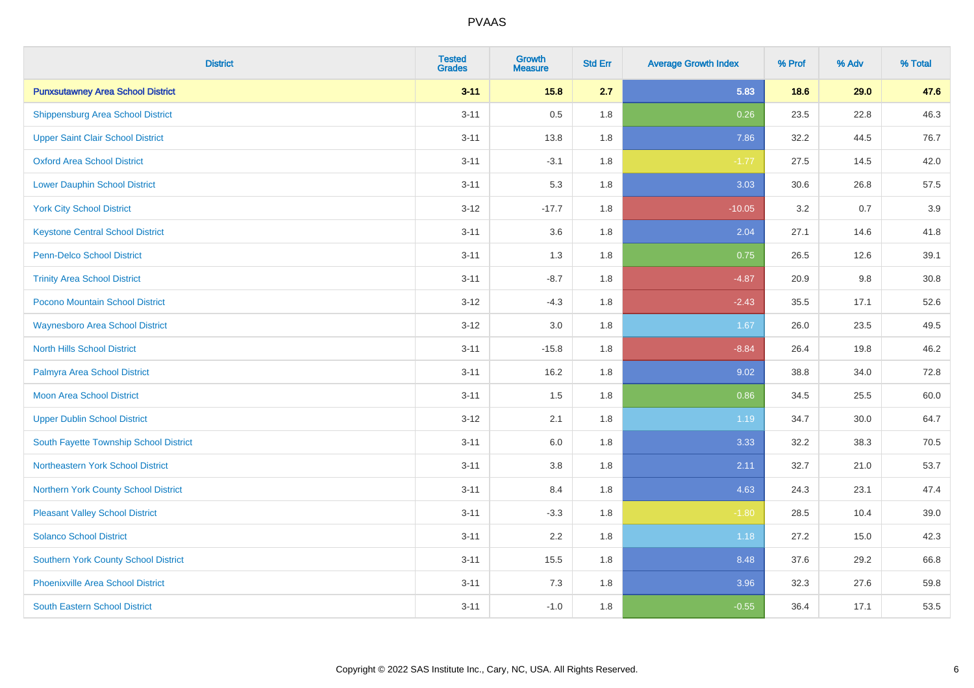| <b>District</b>                             | <b>Tested</b><br><b>Grades</b> | <b>Growth</b><br><b>Measure</b> | <b>Std Err</b> | <b>Average Growth Index</b> | % Prof | % Adv | % Total  |
|---------------------------------------------|--------------------------------|---------------------------------|----------------|-----------------------------|--------|-------|----------|
| <b>Punxsutawney Area School District</b>    | $3 - 11$                       | 15.8                            | 2.7            | 5.83                        | 18.6   | 29.0  | 47.6     |
| <b>Shippensburg Area School District</b>    | $3 - 11$                       | 0.5                             | 1.8            | 0.26                        | 23.5   | 22.8  | 46.3     |
| <b>Upper Saint Clair School District</b>    | $3 - 11$                       | 13.8                            | 1.8            | 7.86                        | 32.2   | 44.5  | 76.7     |
| <b>Oxford Area School District</b>          | $3 - 11$                       | $-3.1$                          | 1.8            | $-1.77$                     | 27.5   | 14.5  | 42.0     |
| <b>Lower Dauphin School District</b>        | $3 - 11$                       | 5.3                             | 1.8            | 3.03                        | 30.6   | 26.8  | 57.5     |
| <b>York City School District</b>            | $3 - 12$                       | $-17.7$                         | 1.8            | $-10.05$                    | 3.2    | 0.7   | 3.9      |
| <b>Keystone Central School District</b>     | $3 - 11$                       | 3.6                             | 1.8            | 2.04                        | 27.1   | 14.6  | 41.8     |
| <b>Penn-Delco School District</b>           | $3 - 11$                       | 1.3                             | 1.8            | 0.75                        | 26.5   | 12.6  | 39.1     |
| <b>Trinity Area School District</b>         | $3 - 11$                       | $-8.7$                          | 1.8            | $-4.87$                     | 20.9   | 9.8   | $30.8\,$ |
| Pocono Mountain School District             | $3 - 12$                       | $-4.3$                          | 1.8            | $-2.43$                     | 35.5   | 17.1  | 52.6     |
| <b>Waynesboro Area School District</b>      | $3 - 12$                       | 3.0                             | 1.8            | 1.67                        | 26.0   | 23.5  | 49.5     |
| <b>North Hills School District</b>          | $3 - 11$                       | $-15.8$                         | 1.8            | $-8.84$                     | 26.4   | 19.8  | 46.2     |
| Palmyra Area School District                | $3 - 11$                       | 16.2                            | 1.8            | 9.02                        | 38.8   | 34.0  | 72.8     |
| <b>Moon Area School District</b>            | $3 - 11$                       | 1.5                             | 1.8            | 0.86                        | 34.5   | 25.5  | 60.0     |
| <b>Upper Dublin School District</b>         | $3 - 12$                       | 2.1                             | 1.8            | 1.19                        | 34.7   | 30.0  | 64.7     |
| South Fayette Township School District      | $3 - 11$                       | 6.0                             | 1.8            | 3.33                        | 32.2   | 38.3  | 70.5     |
| Northeastern York School District           | $3 - 11$                       | 3.8                             | 1.8            | 2.11                        | 32.7   | 21.0  | 53.7     |
| Northern York County School District        | $3 - 11$                       | 8.4                             | 1.8            | 4.63                        | 24.3   | 23.1  | 47.4     |
| <b>Pleasant Valley School District</b>      | $3 - 11$                       | $-3.3$                          | 1.8            | $-1.80$                     | 28.5   | 10.4  | 39.0     |
| <b>Solanco School District</b>              | $3 - 11$                       | 2.2                             | 1.8            | 1.18                        | 27.2   | 15.0  | 42.3     |
| <b>Southern York County School District</b> | $3 - 11$                       | 15.5                            | 1.8            | 8.48                        | 37.6   | 29.2  | 66.8     |
| <b>Phoenixville Area School District</b>    | $3 - 11$                       | 7.3                             | 1.8            | 3.96                        | 32.3   | 27.6  | 59.8     |
| <b>South Eastern School District</b>        | $3 - 11$                       | $-1.0$                          | 1.8            | $-0.55$                     | 36.4   | 17.1  | 53.5     |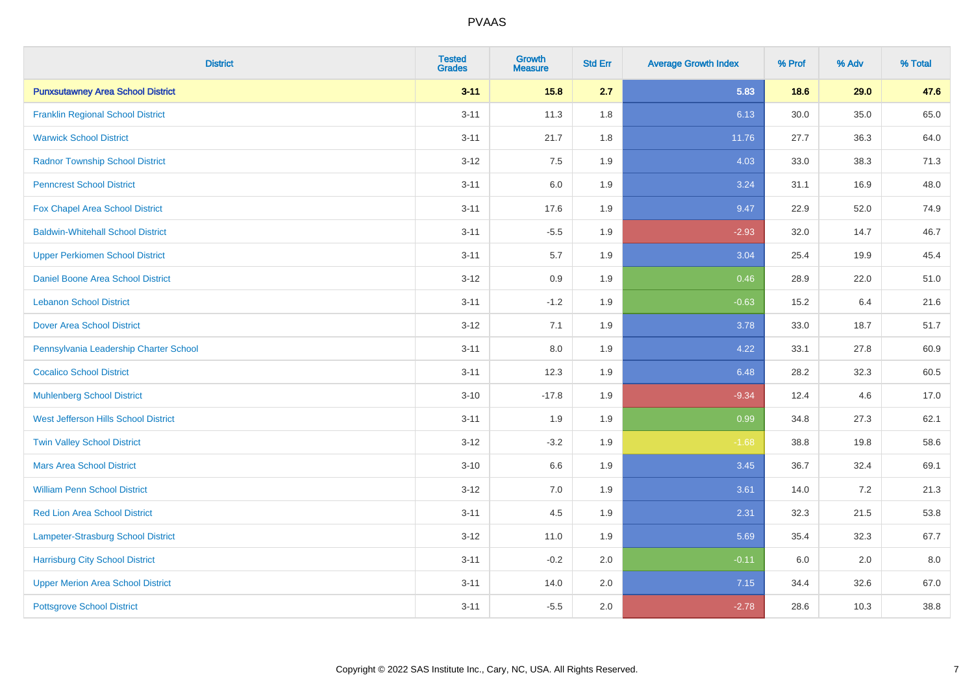| <b>District</b>                           | <b>Tested</b><br><b>Grades</b> | <b>Growth</b><br><b>Measure</b> | <b>Std Err</b> | <b>Average Growth Index</b> | % Prof | % Adv | % Total |
|-------------------------------------------|--------------------------------|---------------------------------|----------------|-----------------------------|--------|-------|---------|
| <b>Punxsutawney Area School District</b>  | $3 - 11$                       | 15.8                            | 2.7            | 5.83                        | 18.6   | 29.0  | 47.6    |
| <b>Franklin Regional School District</b>  | $3 - 11$                       | 11.3                            | 1.8            | 6.13                        | 30.0   | 35.0  | 65.0    |
| <b>Warwick School District</b>            | $3 - 11$                       | 21.7                            | 1.8            | 11.76                       | 27.7   | 36.3  | 64.0    |
| <b>Radnor Township School District</b>    | $3 - 12$                       | 7.5                             | 1.9            | 4.03                        | 33.0   | 38.3  | 71.3    |
| <b>Penncrest School District</b>          | $3 - 11$                       | 6.0                             | 1.9            | 3.24                        | 31.1   | 16.9  | 48.0    |
| Fox Chapel Area School District           | $3 - 11$                       | 17.6                            | 1.9            | 9.47                        | 22.9   | 52.0  | 74.9    |
| <b>Baldwin-Whitehall School District</b>  | $3 - 11$                       | $-5.5$                          | 1.9            | $-2.93$                     | 32.0   | 14.7  | 46.7    |
| <b>Upper Perkiomen School District</b>    | $3 - 11$                       | 5.7                             | 1.9            | 3.04                        | 25.4   | 19.9  | 45.4    |
| <b>Daniel Boone Area School District</b>  | $3 - 12$                       | 0.9                             | 1.9            | 0.46                        | 28.9   | 22.0  | 51.0    |
| <b>Lebanon School District</b>            | $3 - 11$                       | $-1.2$                          | 1.9            | $-0.63$                     | 15.2   | 6.4   | 21.6    |
| <b>Dover Area School District</b>         | $3 - 12$                       | 7.1                             | 1.9            | 3.78                        | 33.0   | 18.7  | 51.7    |
| Pennsylvania Leadership Charter School    | $3 - 11$                       | $8.0\,$                         | 1.9            | 4.22                        | 33.1   | 27.8  | 60.9    |
| <b>Cocalico School District</b>           | $3 - 11$                       | 12.3                            | 1.9            | 6.48                        | 28.2   | 32.3  | 60.5    |
| <b>Muhlenberg School District</b>         | $3 - 10$                       | $-17.8$                         | 1.9            | $-9.34$                     | 12.4   | 4.6   | 17.0    |
| West Jefferson Hills School District      | $3 - 11$                       | 1.9                             | 1.9            | 0.99                        | 34.8   | 27.3  | 62.1    |
| <b>Twin Valley School District</b>        | $3 - 12$                       | $-3.2$                          | 1.9            | $-1.68$                     | 38.8   | 19.8  | 58.6    |
| <b>Mars Area School District</b>          | $3 - 10$                       | 6.6                             | 1.9            | 3.45                        | 36.7   | 32.4  | 69.1    |
| <b>William Penn School District</b>       | $3 - 12$                       | 7.0                             | 1.9            | 3.61                        | 14.0   | 7.2   | 21.3    |
| <b>Red Lion Area School District</b>      | $3 - 11$                       | 4.5                             | 1.9            | 2.31                        | 32.3   | 21.5  | 53.8    |
| <b>Lampeter-Strasburg School District</b> | $3 - 12$                       | 11.0                            | 1.9            | 5.69                        | 35.4   | 32.3  | 67.7    |
| <b>Harrisburg City School District</b>    | $3 - 11$                       | $-0.2$                          | 2.0            | $-0.11$                     | 6.0    | 2.0   | 8.0     |
| <b>Upper Merion Area School District</b>  | $3 - 11$                       | 14.0                            | 2.0            | 7.15                        | 34.4   | 32.6  | 67.0    |
| <b>Pottsgrove School District</b>         | $3 - 11$                       | $-5.5$                          | 2.0            | $-2.78$                     | 28.6   | 10.3  | 38.8    |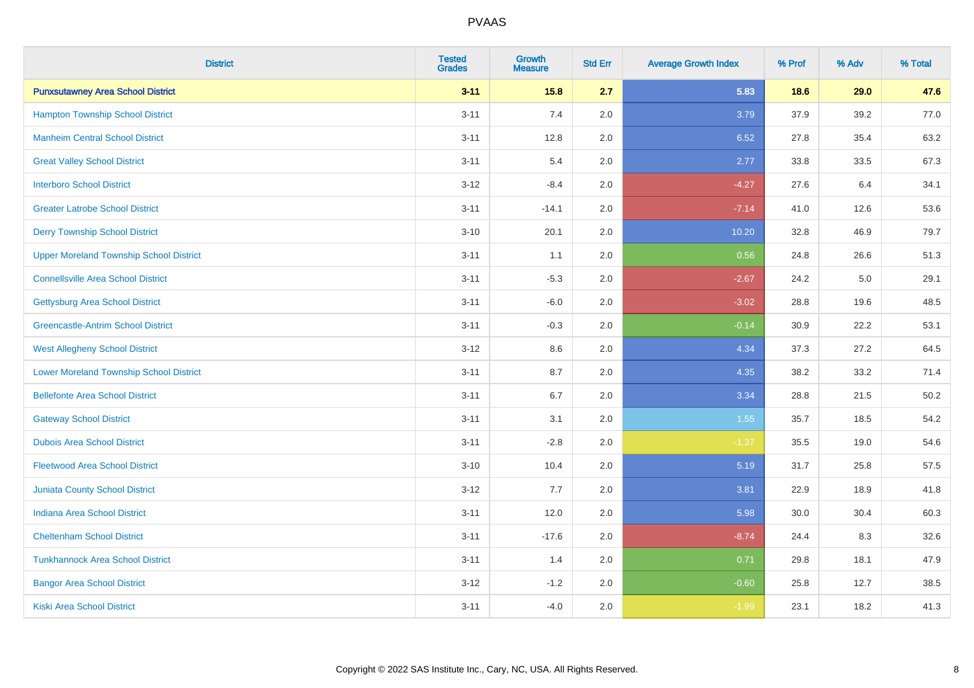| <b>District</b>                                | <b>Tested</b><br><b>Grades</b> | <b>Growth</b><br><b>Measure</b> | <b>Std Err</b> | <b>Average Growth Index</b> | % Prof | % Adv | % Total |
|------------------------------------------------|--------------------------------|---------------------------------|----------------|-----------------------------|--------|-------|---------|
| <b>Punxsutawney Area School District</b>       | $3 - 11$                       | 15.8                            | 2.7            | 5.83                        | 18.6   | 29.0  | 47.6    |
| <b>Hampton Township School District</b>        | $3 - 11$                       | 7.4                             | 2.0            | 3.79                        | 37.9   | 39.2  | 77.0    |
| <b>Manheim Central School District</b>         | $3 - 11$                       | 12.8                            | 2.0            | 6.52                        | 27.8   | 35.4  | 63.2    |
| <b>Great Valley School District</b>            | $3 - 11$                       | 5.4                             | 2.0            | 2.77                        | 33.8   | 33.5  | 67.3    |
| <b>Interboro School District</b>               | $3 - 12$                       | $-8.4$                          | 2.0            | $-4.27$                     | 27.6   | 6.4   | 34.1    |
| <b>Greater Latrobe School District</b>         | $3 - 11$                       | $-14.1$                         | 2.0            | $-7.14$                     | 41.0   | 12.6  | 53.6    |
| <b>Derry Township School District</b>          | $3 - 10$                       | 20.1                            | 2.0            | 10.20                       | 32.8   | 46.9  | 79.7    |
| <b>Upper Moreland Township School District</b> | $3 - 11$                       | 1.1                             | 2.0            | 0.56                        | 24.8   | 26.6  | 51.3    |
| <b>Connellsville Area School District</b>      | $3 - 11$                       | $-5.3$                          | 2.0            | $-2.67$                     | 24.2   | 5.0   | 29.1    |
| <b>Gettysburg Area School District</b>         | $3 - 11$                       | $-6.0$                          | 2.0            | $-3.02$                     | 28.8   | 19.6  | 48.5    |
| <b>Greencastle-Antrim School District</b>      | $3 - 11$                       | $-0.3$                          | 2.0            | $-0.14$                     | 30.9   | 22.2  | 53.1    |
| <b>West Allegheny School District</b>          | $3 - 12$                       | 8.6                             | 2.0            | 4.34                        | 37.3   | 27.2  | 64.5    |
| <b>Lower Moreland Township School District</b> | $3 - 11$                       | 8.7                             | 2.0            | 4.35                        | 38.2   | 33.2  | 71.4    |
| <b>Bellefonte Area School District</b>         | $3 - 11$                       | 6.7                             | 2.0            | 3.34                        | 28.8   | 21.5  | 50.2    |
| <b>Gateway School District</b>                 | $3 - 11$                       | 3.1                             | 2.0            | 1.55                        | 35.7   | 18.5  | 54.2    |
| <b>Dubois Area School District</b>             | $3 - 11$                       | $-2.8$                          | 2.0            | $-1.37$                     | 35.5   | 19.0  | 54.6    |
| <b>Fleetwood Area School District</b>          | $3 - 10$                       | 10.4                            | 2.0            | 5.19                        | 31.7   | 25.8  | 57.5    |
| Juniata County School District                 | $3 - 12$                       | 7.7                             | 2.0            | 3.81                        | 22.9   | 18.9  | 41.8    |
| <b>Indiana Area School District</b>            | $3 - 11$                       | 12.0                            | 2.0            | 5.98                        | 30.0   | 30.4  | 60.3    |
| <b>Cheltenham School District</b>              | $3 - 11$                       | $-17.6$                         | 2.0            | $-8.74$                     | 24.4   | 8.3   | 32.6    |
| <b>Tunkhannock Area School District</b>        | $3 - 11$                       | 1.4                             | 2.0            | 0.71                        | 29.8   | 18.1  | 47.9    |
| <b>Bangor Area School District</b>             | $3 - 12$                       | $-1.2$                          | 2.0            | $-0.60$                     | 25.8   | 12.7  | 38.5    |
| Kiski Area School District                     | $3 - 11$                       | $-4.0$                          | 2.0            | $-1.99$                     | 23.1   | 18.2  | 41.3    |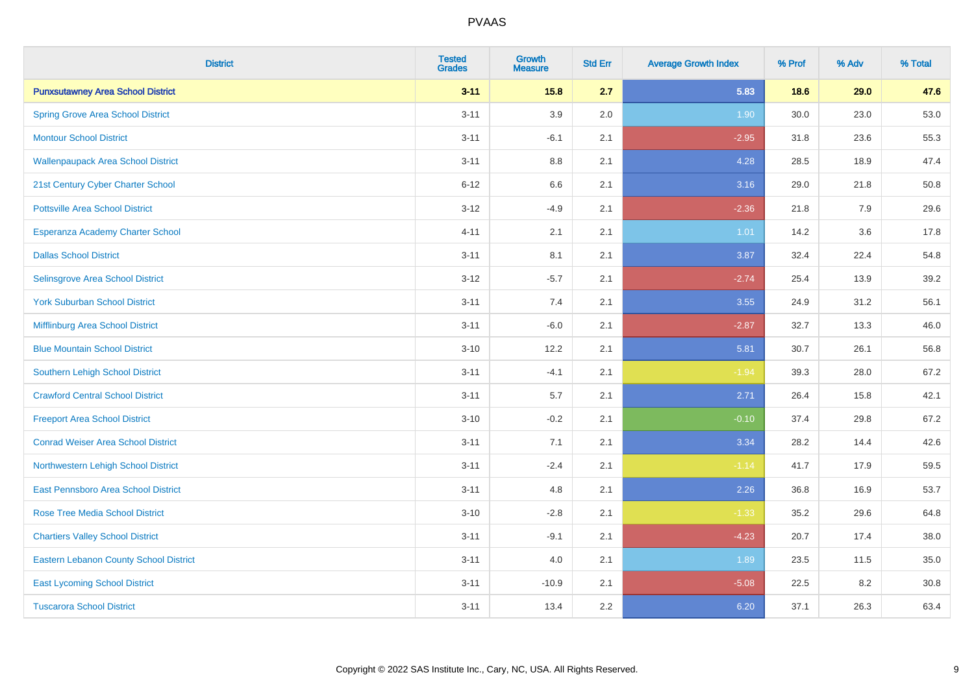| <b>District</b>                               | <b>Tested</b><br><b>Grades</b> | <b>Growth</b><br><b>Measure</b> | <b>Std Err</b> | <b>Average Growth Index</b> | % Prof | % Adv | % Total |
|-----------------------------------------------|--------------------------------|---------------------------------|----------------|-----------------------------|--------|-------|---------|
| <b>Punxsutawney Area School District</b>      | $3 - 11$                       | 15.8                            | 2.7            | 5.83                        | 18.6   | 29.0  | 47.6    |
| <b>Spring Grove Area School District</b>      | $3 - 11$                       | 3.9                             | 2.0            | 1.90                        | 30.0   | 23.0  | 53.0    |
| <b>Montour School District</b>                | $3 - 11$                       | $-6.1$                          | 2.1            | $-2.95$                     | 31.8   | 23.6  | 55.3    |
| <b>Wallenpaupack Area School District</b>     | $3 - 11$                       | $8.8\,$                         | 2.1            | 4.28                        | 28.5   | 18.9  | 47.4    |
| 21st Century Cyber Charter School             | $6 - 12$                       | 6.6                             | 2.1            | 3.16                        | 29.0   | 21.8  | 50.8    |
| <b>Pottsville Area School District</b>        | $3 - 12$                       | $-4.9$                          | 2.1            | $-2.36$                     | 21.8   | 7.9   | 29.6    |
| Esperanza Academy Charter School              | $4 - 11$                       | 2.1                             | 2.1            | $1.01$                      | 14.2   | 3.6   | 17.8    |
| <b>Dallas School District</b>                 | $3 - 11$                       | 8.1                             | 2.1            | 3.87                        | 32.4   | 22.4  | 54.8    |
| Selinsgrove Area School District              | $3 - 12$                       | $-5.7$                          | 2.1            | $-2.74$                     | 25.4   | 13.9  | 39.2    |
| <b>York Suburban School District</b>          | $3 - 11$                       | 7.4                             | 2.1            | 3.55                        | 24.9   | 31.2  | 56.1    |
| Mifflinburg Area School District              | $3 - 11$                       | $-6.0$                          | 2.1            | $-2.87$                     | 32.7   | 13.3  | 46.0    |
| <b>Blue Mountain School District</b>          | $3 - 10$                       | 12.2                            | 2.1            | 5.81                        | 30.7   | 26.1  | 56.8    |
| Southern Lehigh School District               | $3 - 11$                       | $-4.1$                          | 2.1            | $-1.94$                     | 39.3   | 28.0  | 67.2    |
| <b>Crawford Central School District</b>       | $3 - 11$                       | 5.7                             | 2.1            | 2.71                        | 26.4   | 15.8  | 42.1    |
| <b>Freeport Area School District</b>          | $3 - 10$                       | $-0.2$                          | 2.1            | $-0.10$                     | 37.4   | 29.8  | 67.2    |
| <b>Conrad Weiser Area School District</b>     | $3 - 11$                       | 7.1                             | 2.1            | 3.34                        | 28.2   | 14.4  | 42.6    |
| Northwestern Lehigh School District           | $3 - 11$                       | $-2.4$                          | 2.1            | $-1.14$                     | 41.7   | 17.9  | 59.5    |
| East Pennsboro Area School District           | $3 - 11$                       | 4.8                             | 2.1            | 2.26                        | 36.8   | 16.9  | 53.7    |
| <b>Rose Tree Media School District</b>        | $3 - 10$                       | $-2.8$                          | 2.1            | $-1.33$                     | 35.2   | 29.6  | 64.8    |
| <b>Chartiers Valley School District</b>       | $3 - 11$                       | $-9.1$                          | 2.1            | $-4.23$                     | 20.7   | 17.4  | 38.0    |
| <b>Eastern Lebanon County School District</b> | $3 - 11$                       | 4.0                             | 2.1            | 1.89                        | 23.5   | 11.5  | 35.0    |
| <b>East Lycoming School District</b>          | $3 - 11$                       | $-10.9$                         | 2.1            | $-5.08$                     | 22.5   | 8.2   | 30.8    |
| <b>Tuscarora School District</b>              | $3 - 11$                       | 13.4                            | 2.2            | 6.20                        | 37.1   | 26.3  | 63.4    |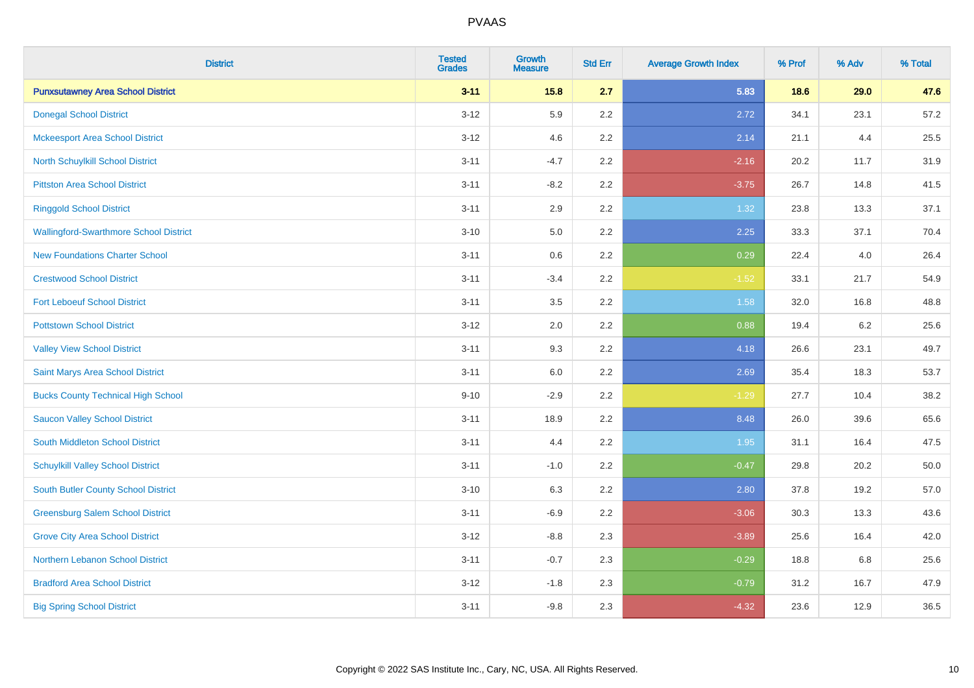| <b>District</b>                               | <b>Tested</b><br><b>Grades</b> | <b>Growth</b><br><b>Measure</b> | <b>Std Err</b> | <b>Average Growth Index</b> | % Prof | % Adv | % Total |
|-----------------------------------------------|--------------------------------|---------------------------------|----------------|-----------------------------|--------|-------|---------|
| <b>Punxsutawney Area School District</b>      | $3 - 11$                       | 15.8                            | 2.7            | 5.83                        | 18.6   | 29.0  | 47.6    |
| <b>Donegal School District</b>                | $3 - 12$                       | 5.9                             | 2.2            | 2.72                        | 34.1   | 23.1  | 57.2    |
| <b>Mckeesport Area School District</b>        | $3 - 12$                       | 4.6                             | 2.2            | 2.14                        | 21.1   | 4.4   | 25.5    |
| North Schuylkill School District              | $3 - 11$                       | $-4.7$                          | 2.2            | $-2.16$                     | 20.2   | 11.7  | 31.9    |
| <b>Pittston Area School District</b>          | $3 - 11$                       | $-8.2$                          | 2.2            | $-3.75$                     | 26.7   | 14.8  | 41.5    |
| <b>Ringgold School District</b>               | $3 - 11$                       | 2.9                             | 2.2            | 1.32                        | 23.8   | 13.3  | 37.1    |
| <b>Wallingford-Swarthmore School District</b> | $3 - 10$                       | 5.0                             | 2.2            | 2.25                        | 33.3   | 37.1  | 70.4    |
| <b>New Foundations Charter School</b>         | $3 - 11$                       | 0.6                             | 2.2            | 0.29                        | 22.4   | 4.0   | 26.4    |
| <b>Crestwood School District</b>              | $3 - 11$                       | $-3.4$                          | 2.2            | $-1.52$                     | 33.1   | 21.7  | 54.9    |
| <b>Fort Leboeuf School District</b>           | $3 - 11$                       | 3.5                             | $2.2\,$        | 1.58                        | 32.0   | 16.8  | 48.8    |
| <b>Pottstown School District</b>              | $3 - 12$                       | 2.0                             | 2.2            | 0.88                        | 19.4   | 6.2   | 25.6    |
| <b>Valley View School District</b>            | $3 - 11$                       | 9.3                             | 2.2            | 4.18                        | 26.6   | 23.1  | 49.7    |
| Saint Marys Area School District              | $3 - 11$                       | $6.0\,$                         | 2.2            | 2.69                        | 35.4   | 18.3  | 53.7    |
| <b>Bucks County Technical High School</b>     | $9 - 10$                       | $-2.9$                          | 2.2            | $-1.29$                     | 27.7   | 10.4  | 38.2    |
| <b>Saucon Valley School District</b>          | $3 - 11$                       | 18.9                            | 2.2            | 8.48                        | 26.0   | 39.6  | 65.6    |
| South Middleton School District               | $3 - 11$                       | 4.4                             | 2.2            | 1.95                        | 31.1   | 16.4  | 47.5    |
| <b>Schuylkill Valley School District</b>      | $3 - 11$                       | $-1.0$                          | 2.2            | $-0.47$                     | 29.8   | 20.2  | 50.0    |
| <b>South Butler County School District</b>    | $3 - 10$                       | 6.3                             | 2.2            | 2.80                        | 37.8   | 19.2  | 57.0    |
| <b>Greensburg Salem School District</b>       | $3 - 11$                       | $-6.9$                          | 2.2            | $-3.06$                     | 30.3   | 13.3  | 43.6    |
| <b>Grove City Area School District</b>        | $3 - 12$                       | $-8.8$                          | 2.3            | $-3.89$                     | 25.6   | 16.4  | 42.0    |
| Northern Lebanon School District              | $3 - 11$                       | $-0.7$                          | 2.3            | $-0.29$                     | 18.8   | 6.8   | 25.6    |
| <b>Bradford Area School District</b>          | $3 - 12$                       | $-1.8$                          | 2.3            | $-0.79$                     | 31.2   | 16.7  | 47.9    |
| <b>Big Spring School District</b>             | $3 - 11$                       | $-9.8$                          | 2.3            | $-4.32$                     | 23.6   | 12.9  | 36.5    |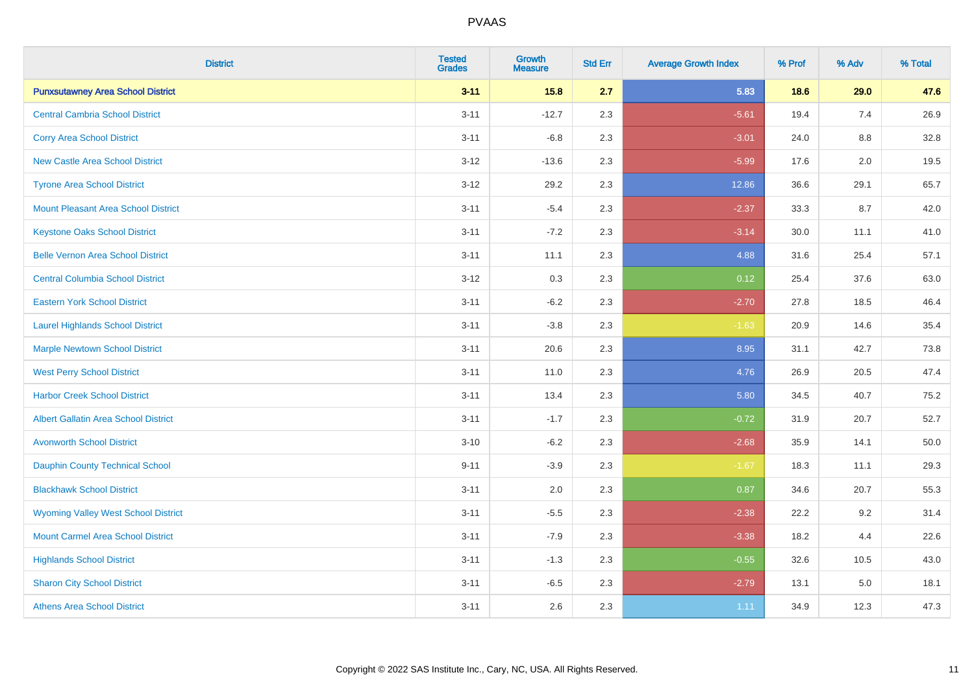| <b>District</b>                             | <b>Tested</b><br><b>Grades</b> | Growth<br><b>Measure</b> | <b>Std Err</b> | <b>Average Growth Index</b> | % Prof | % Adv   | % Total |
|---------------------------------------------|--------------------------------|--------------------------|----------------|-----------------------------|--------|---------|---------|
| <b>Punxsutawney Area School District</b>    | $3 - 11$                       | 15.8                     | 2.7            | 5.83                        | 18.6   | 29.0    | 47.6    |
| <b>Central Cambria School District</b>      | $3 - 11$                       | $-12.7$                  | 2.3            | $-5.61$                     | 19.4   | 7.4     | 26.9    |
| <b>Corry Area School District</b>           | $3 - 11$                       | $-6.8$                   | 2.3            | $-3.01$                     | 24.0   | 8.8     | 32.8    |
| New Castle Area School District             | $3 - 12$                       | $-13.6$                  | 2.3            | $-5.99$                     | 17.6   | $2.0\,$ | 19.5    |
| <b>Tyrone Area School District</b>          | $3 - 12$                       | 29.2                     | 2.3            | 12.86                       | 36.6   | 29.1    | 65.7    |
| <b>Mount Pleasant Area School District</b>  | $3 - 11$                       | $-5.4$                   | 2.3            | $-2.37$                     | 33.3   | 8.7     | 42.0    |
| <b>Keystone Oaks School District</b>        | $3 - 11$                       | $-7.2$                   | 2.3            | $-3.14$                     | 30.0   | 11.1    | 41.0    |
| <b>Belle Vernon Area School District</b>    | $3 - 11$                       | 11.1                     | 2.3            | 4.88                        | 31.6   | 25.4    | 57.1    |
| <b>Central Columbia School District</b>     | $3 - 12$                       | 0.3                      | 2.3            | 0.12                        | 25.4   | 37.6    | 63.0    |
| <b>Eastern York School District</b>         | $3 - 11$                       | $-6.2$                   | 2.3            | $-2.70$                     | 27.8   | 18.5    | 46.4    |
| <b>Laurel Highlands School District</b>     | $3 - 11$                       | $-3.8$                   | 2.3            | $-1.63$                     | 20.9   | 14.6    | 35.4    |
| <b>Marple Newtown School District</b>       | $3 - 11$                       | 20.6                     | 2.3            | 8.95                        | 31.1   | 42.7    | 73.8    |
| <b>West Perry School District</b>           | $3 - 11$                       | 11.0                     | 2.3            | 4.76                        | 26.9   | 20.5    | 47.4    |
| <b>Harbor Creek School District</b>         | $3 - 11$                       | 13.4                     | 2.3            | 5.80                        | 34.5   | 40.7    | 75.2    |
| <b>Albert Gallatin Area School District</b> | $3 - 11$                       | $-1.7$                   | 2.3            | $-0.72$                     | 31.9   | 20.7    | 52.7    |
| <b>Avonworth School District</b>            | $3 - 10$                       | $-6.2$                   | 2.3            | $-2.68$                     | 35.9   | 14.1    | 50.0    |
| <b>Dauphin County Technical School</b>      | $9 - 11$                       | $-3.9$                   | 2.3            | $-1.67$                     | 18.3   | 11.1    | 29.3    |
| <b>Blackhawk School District</b>            | $3 - 11$                       | 2.0                      | 2.3            | 0.87                        | 34.6   | 20.7    | 55.3    |
| <b>Wyoming Valley West School District</b>  | $3 - 11$                       | $-5.5$                   | 2.3            | $-2.38$                     | 22.2   | 9.2     | 31.4    |
| <b>Mount Carmel Area School District</b>    | $3 - 11$                       | $-7.9$                   | 2.3            | $-3.38$                     | 18.2   | 4.4     | 22.6    |
| <b>Highlands School District</b>            | $3 - 11$                       | $-1.3$                   | 2.3            | $-0.55$                     | 32.6   | 10.5    | 43.0    |
| <b>Sharon City School District</b>          | $3 - 11$                       | $-6.5$                   | 2.3            | $-2.79$                     | 13.1   | 5.0     | 18.1    |
| <b>Athens Area School District</b>          | $3 - 11$                       | 2.6                      | 2.3            | 1.11                        | 34.9   | 12.3    | 47.3    |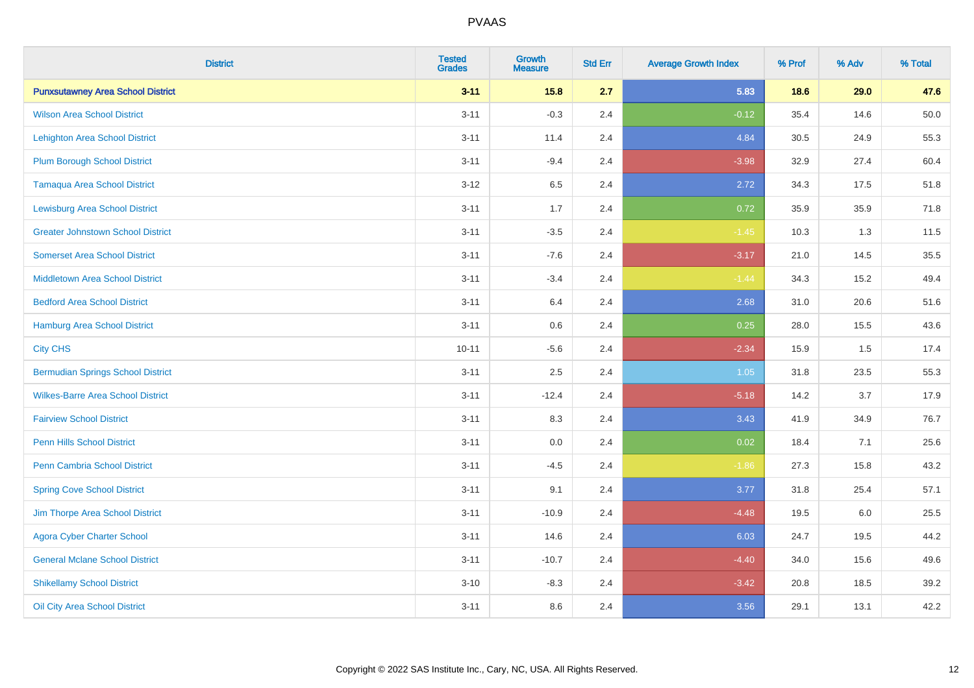| <b>District</b>                          | <b>Tested</b><br><b>Grades</b> | <b>Growth</b><br><b>Measure</b> | <b>Std Err</b> | <b>Average Growth Index</b> | % Prof | % Adv | % Total |
|------------------------------------------|--------------------------------|---------------------------------|----------------|-----------------------------|--------|-------|---------|
| <b>Punxsutawney Area School District</b> | $3 - 11$                       | 15.8                            | 2.7            | 5.83                        | 18.6   | 29.0  | 47.6    |
| <b>Wilson Area School District</b>       | $3 - 11$                       | $-0.3$                          | 2.4            | $-0.12$                     | 35.4   | 14.6  | 50.0    |
| <b>Lehighton Area School District</b>    | $3 - 11$                       | 11.4                            | 2.4            | 4.84                        | 30.5   | 24.9  | 55.3    |
| <b>Plum Borough School District</b>      | $3 - 11$                       | $-9.4$                          | 2.4            | $-3.98$                     | 32.9   | 27.4  | 60.4    |
| <b>Tamaqua Area School District</b>      | $3 - 12$                       | 6.5                             | 2.4            | 2.72                        | 34.3   | 17.5  | 51.8    |
| <b>Lewisburg Area School District</b>    | $3 - 11$                       | 1.7                             | 2.4            | 0.72                        | 35.9   | 35.9  | 71.8    |
| <b>Greater Johnstown School District</b> | $3 - 11$                       | $-3.5$                          | 2.4            | $-1.45$                     | 10.3   | 1.3   | 11.5    |
| <b>Somerset Area School District</b>     | $3 - 11$                       | $-7.6$                          | 2.4            | $-3.17$                     | 21.0   | 14.5  | 35.5    |
| <b>Middletown Area School District</b>   | $3 - 11$                       | $-3.4$                          | 2.4            | $-1.44$                     | 34.3   | 15.2  | 49.4    |
| <b>Bedford Area School District</b>      | $3 - 11$                       | 6.4                             | 2.4            | 2.68                        | 31.0   | 20.6  | 51.6    |
| Hamburg Area School District             | $3 - 11$                       | 0.6                             | 2.4            | 0.25                        | 28.0   | 15.5  | 43.6    |
| <b>City CHS</b>                          | $10 - 11$                      | $-5.6$                          | 2.4            | $-2.34$                     | 15.9   | 1.5   | 17.4    |
| <b>Bermudian Springs School District</b> | $3 - 11$                       | 2.5                             | 2.4            | $1.05$                      | 31.8   | 23.5  | 55.3    |
| <b>Wilkes-Barre Area School District</b> | $3 - 11$                       | $-12.4$                         | 2.4            | $-5.18$                     | 14.2   | 3.7   | 17.9    |
| <b>Fairview School District</b>          | $3 - 11$                       | 8.3                             | 2.4            | 3.43                        | 41.9   | 34.9  | 76.7    |
| <b>Penn Hills School District</b>        | $3 - 11$                       | 0.0                             | 2.4            | 0.02                        | 18.4   | 7.1   | 25.6    |
| <b>Penn Cambria School District</b>      | $3 - 11$                       | $-4.5$                          | 2.4            | $-1.86$                     | 27.3   | 15.8  | 43.2    |
| <b>Spring Cove School District</b>       | $3 - 11$                       | 9.1                             | 2.4            | 3.77                        | 31.8   | 25.4  | 57.1    |
| Jim Thorpe Area School District          | $3 - 11$                       | $-10.9$                         | 2.4            | $-4.48$                     | 19.5   | 6.0   | 25.5    |
| <b>Agora Cyber Charter School</b>        | $3 - 11$                       | 14.6                            | 2.4            | 6.03                        | 24.7   | 19.5  | 44.2    |
| <b>General Mclane School District</b>    | $3 - 11$                       | $-10.7$                         | 2.4            | $-4.40$                     | 34.0   | 15.6  | 49.6    |
| <b>Shikellamy School District</b>        | $3 - 10$                       | $-8.3$                          | 2.4            | $-3.42$                     | 20.8   | 18.5  | 39.2    |
| Oil City Area School District            | $3 - 11$                       | 8.6                             | 2.4            | 3.56                        | 29.1   | 13.1  | 42.2    |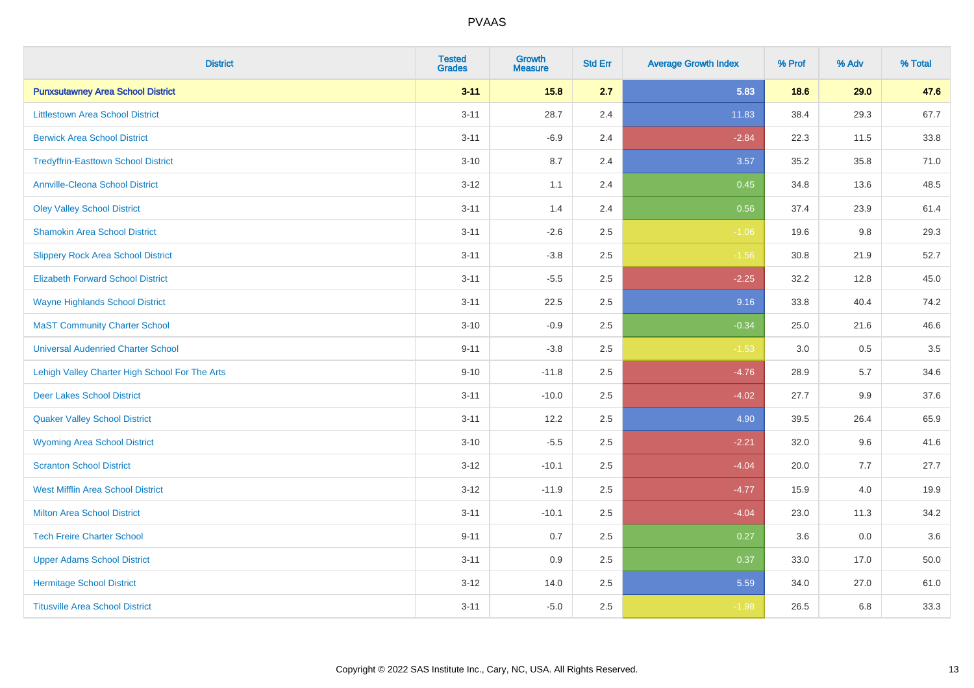| <b>District</b>                                | <b>Tested</b><br><b>Grades</b> | <b>Growth</b><br><b>Measure</b> | <b>Std Err</b> | <b>Average Growth Index</b> | % Prof | % Adv | % Total |
|------------------------------------------------|--------------------------------|---------------------------------|----------------|-----------------------------|--------|-------|---------|
| <b>Punxsutawney Area School District</b>       | $3 - 11$                       | 15.8                            | 2.7            | 5.83                        | 18.6   | 29.0  | 47.6    |
| <b>Littlestown Area School District</b>        | $3 - 11$                       | 28.7                            | 2.4            | 11.83                       | 38.4   | 29.3  | 67.7    |
| <b>Berwick Area School District</b>            | $3 - 11$                       | $-6.9$                          | 2.4            | $-2.84$                     | 22.3   | 11.5  | 33.8    |
| <b>Tredyffrin-Easttown School District</b>     | $3 - 10$                       | 8.7                             | 2.4            | 3.57                        | 35.2   | 35.8  | 71.0    |
| <b>Annville-Cleona School District</b>         | $3 - 12$                       | 1.1                             | 2.4            | 0.45                        | 34.8   | 13.6  | 48.5    |
| <b>Oley Valley School District</b>             | $3 - 11$                       | 1.4                             | 2.4            | 0.56                        | 37.4   | 23.9  | 61.4    |
| <b>Shamokin Area School District</b>           | $3 - 11$                       | $-2.6$                          | 2.5            | $-1.06$                     | 19.6   | 9.8   | 29.3    |
| <b>Slippery Rock Area School District</b>      | $3 - 11$                       | $-3.8$                          | 2.5            | $-1.56$                     | 30.8   | 21.9  | 52.7    |
| <b>Elizabeth Forward School District</b>       | $3 - 11$                       | $-5.5$                          | 2.5            | $-2.25$                     | 32.2   | 12.8  | 45.0    |
| <b>Wayne Highlands School District</b>         | $3 - 11$                       | 22.5                            | 2.5            | 9.16                        | 33.8   | 40.4  | 74.2    |
| <b>MaST Community Charter School</b>           | $3 - 10$                       | $-0.9$                          | 2.5            | $-0.34$                     | 25.0   | 21.6  | 46.6    |
| <b>Universal Audenried Charter School</b>      | $9 - 11$                       | $-3.8$                          | 2.5            | $-1.53$                     | 3.0    | 0.5   | 3.5     |
| Lehigh Valley Charter High School For The Arts | $9 - 10$                       | $-11.8$                         | 2.5            | $-4.76$                     | 28.9   | 5.7   | 34.6    |
| <b>Deer Lakes School District</b>              | $3 - 11$                       | $-10.0$                         | 2.5            | $-4.02$                     | 27.7   | 9.9   | 37.6    |
| <b>Quaker Valley School District</b>           | $3 - 11$                       | 12.2                            | 2.5            | 4.90                        | 39.5   | 26.4  | 65.9    |
| <b>Wyoming Area School District</b>            | $3 - 10$                       | $-5.5$                          | 2.5            | $-2.21$                     | 32.0   | 9.6   | 41.6    |
| <b>Scranton School District</b>                | $3 - 12$                       | $-10.1$                         | 2.5            | $-4.04$                     | 20.0   | 7.7   | 27.7    |
| <b>West Mifflin Area School District</b>       | $3 - 12$                       | $-11.9$                         | 2.5            | $-4.77$                     | 15.9   | 4.0   | 19.9    |
| <b>Milton Area School District</b>             | $3 - 11$                       | $-10.1$                         | 2.5            | $-4.04$                     | 23.0   | 11.3  | 34.2    |
| <b>Tech Freire Charter School</b>              | $9 - 11$                       | 0.7                             | 2.5            | 0.27                        | 3.6    | 0.0   | 3.6     |
| <b>Upper Adams School District</b>             | $3 - 11$                       | 0.9                             | 2.5            | 0.37                        | 33.0   | 17.0  | 50.0    |
| <b>Hermitage School District</b>               | $3 - 12$                       | 14.0                            | 2.5            | 5.59                        | 34.0   | 27.0  | 61.0    |
| <b>Titusville Area School District</b>         | $3 - 11$                       | $-5.0$                          | 2.5            | $-1.98$                     | 26.5   | 6.8   | 33.3    |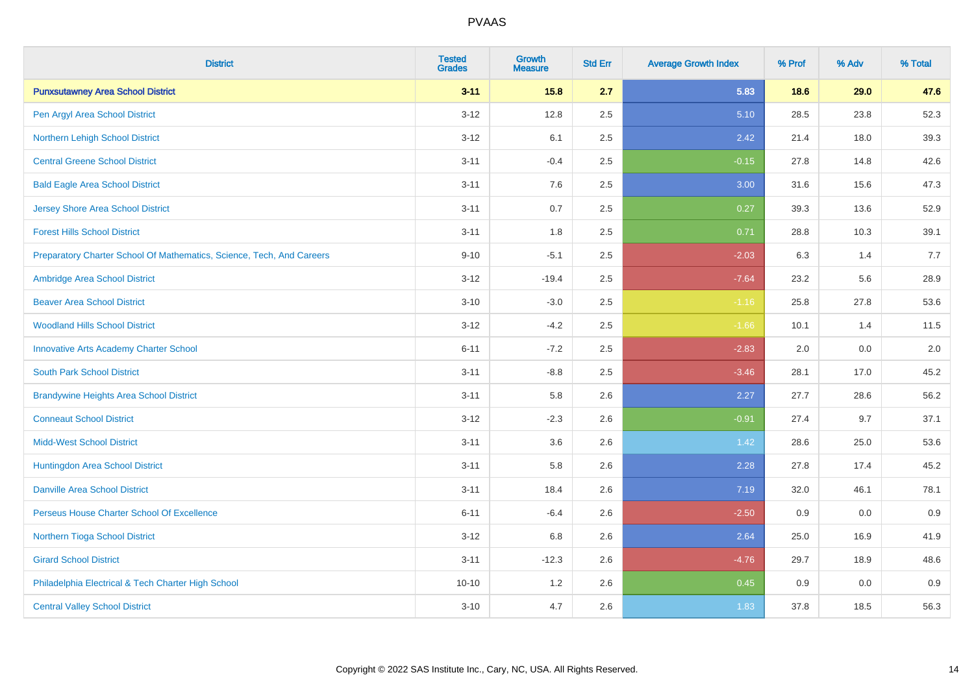| <b>District</b>                                                       | <b>Tested</b><br><b>Grades</b> | <b>Growth</b><br><b>Measure</b> | <b>Std Err</b> | <b>Average Growth Index</b> | % Prof | % Adv | % Total |
|-----------------------------------------------------------------------|--------------------------------|---------------------------------|----------------|-----------------------------|--------|-------|---------|
| <b>Punxsutawney Area School District</b>                              | $3 - 11$                       | 15.8                            | 2.7            | 5.83                        | 18.6   | 29.0  | 47.6    |
| Pen Argyl Area School District                                        | $3 - 12$                       | 12.8                            | 2.5            | 5.10                        | 28.5   | 23.8  | 52.3    |
| Northern Lehigh School District                                       | $3 - 12$                       | 6.1                             | 2.5            | 2.42                        | 21.4   | 18.0  | 39.3    |
| <b>Central Greene School District</b>                                 | $3 - 11$                       | $-0.4$                          | 2.5            | $-0.15$                     | 27.8   | 14.8  | 42.6    |
| <b>Bald Eagle Area School District</b>                                | $3 - 11$                       | 7.6                             | 2.5            | 3.00                        | 31.6   | 15.6  | 47.3    |
| <b>Jersey Shore Area School District</b>                              | $3 - 11$                       | 0.7                             | 2.5            | 0.27                        | 39.3   | 13.6  | 52.9    |
| <b>Forest Hills School District</b>                                   | $3 - 11$                       | 1.8                             | 2.5            | 0.71                        | 28.8   | 10.3  | 39.1    |
| Preparatory Charter School Of Mathematics, Science, Tech, And Careers | $9 - 10$                       | $-5.1$                          | 2.5            | $-2.03$                     | 6.3    | 1.4   | 7.7     |
| Ambridge Area School District                                         | $3 - 12$                       | $-19.4$                         | 2.5            | $-7.64$                     | 23.2   | 5.6   | 28.9    |
| <b>Beaver Area School District</b>                                    | $3 - 10$                       | $-3.0$                          | 2.5            | $-1.16$                     | 25.8   | 27.8  | 53.6    |
| <b>Woodland Hills School District</b>                                 | $3 - 12$                       | $-4.2$                          | 2.5            | $-1.66$                     | 10.1   | 1.4   | 11.5    |
| <b>Innovative Arts Academy Charter School</b>                         | $6 - 11$                       | $-7.2$                          | 2.5            | $-2.83$                     | 2.0    | 0.0   | 2.0     |
| <b>South Park School District</b>                                     | $3 - 11$                       | $-8.8$                          | 2.5            | $-3.46$                     | 28.1   | 17.0  | 45.2    |
| <b>Brandywine Heights Area School District</b>                        | $3 - 11$                       | 5.8                             | 2.6            | 2.27                        | 27.7   | 28.6  | 56.2    |
| <b>Conneaut School District</b>                                       | $3 - 12$                       | $-2.3$                          | 2.6            | $-0.91$                     | 27.4   | 9.7   | 37.1    |
| <b>Midd-West School District</b>                                      | $3 - 11$                       | 3.6                             | 2.6            | 1.42                        | 28.6   | 25.0  | 53.6    |
| Huntingdon Area School District                                       | $3 - 11$                       | 5.8                             | 2.6            | 2.28                        | 27.8   | 17.4  | 45.2    |
| <b>Danville Area School District</b>                                  | $3 - 11$                       | 18.4                            | 2.6            | 7.19                        | 32.0   | 46.1  | 78.1    |
| Perseus House Charter School Of Excellence                            | $6 - 11$                       | $-6.4$                          | 2.6            | $-2.50$                     | 0.9    | 0.0   | 0.9     |
| Northern Tioga School District                                        | $3 - 12$                       | 6.8                             | 2.6            | 2.64                        | 25.0   | 16.9  | 41.9    |
| <b>Girard School District</b>                                         | $3 - 11$                       | $-12.3$                         | 2.6            | $-4.76$                     | 29.7   | 18.9  | 48.6    |
| Philadelphia Electrical & Tech Charter High School                    | $10 - 10$                      | 1.2                             | 2.6            | 0.45                        | 0.9    | 0.0   | 0.9     |
| <b>Central Valley School District</b>                                 | $3 - 10$                       | 4.7                             | 2.6            | 1.83                        | 37.8   | 18.5  | 56.3    |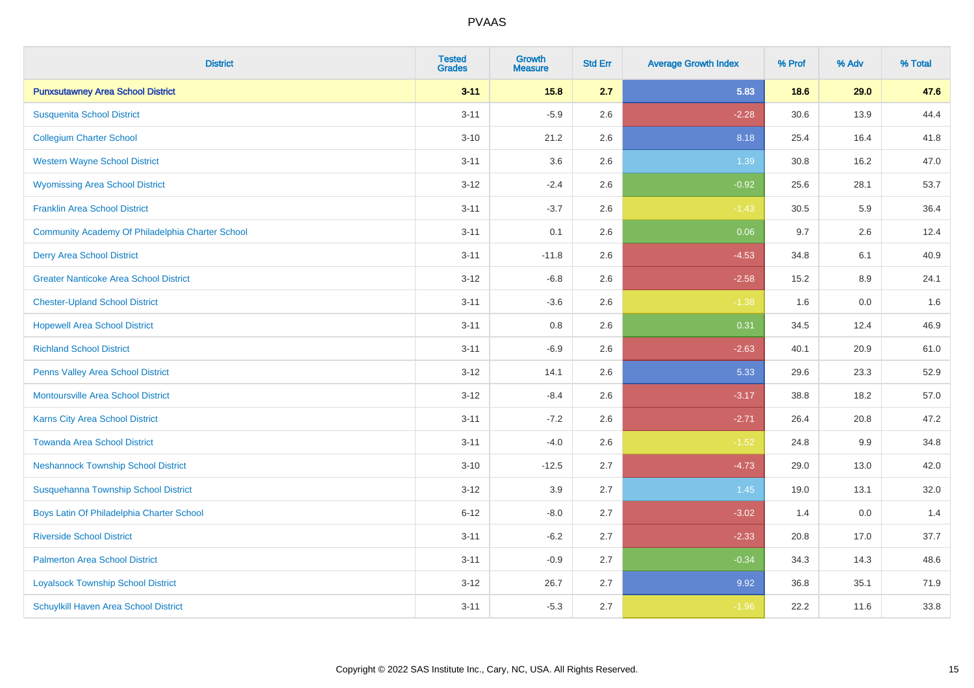| <b>District</b>                                  | <b>Tested</b><br><b>Grades</b> | <b>Growth</b><br><b>Measure</b> | <b>Std Err</b> | <b>Average Growth Index</b> | % Prof | % Adv | % Total |
|--------------------------------------------------|--------------------------------|---------------------------------|----------------|-----------------------------|--------|-------|---------|
| <b>Punxsutawney Area School District</b>         | $3 - 11$                       | 15.8                            | 2.7            | 5.83                        | 18.6   | 29.0  | 47.6    |
| <b>Susquenita School District</b>                | $3 - 11$                       | $-5.9$                          | 2.6            | $-2.28$                     | 30.6   | 13.9  | 44.4    |
| <b>Collegium Charter School</b>                  | $3 - 10$                       | 21.2                            | 2.6            | 8.18                        | 25.4   | 16.4  | 41.8    |
| <b>Western Wayne School District</b>             | $3 - 11$                       | 3.6                             | 2.6            | 1.39                        | 30.8   | 16.2  | 47.0    |
| <b>Wyomissing Area School District</b>           | $3 - 12$                       | $-2.4$                          | 2.6            | $-0.92$                     | 25.6   | 28.1  | 53.7    |
| <b>Franklin Area School District</b>             | $3 - 11$                       | $-3.7$                          | 2.6            | $-1.43$                     | 30.5   | 5.9   | 36.4    |
| Community Academy Of Philadelphia Charter School | $3 - 11$                       | 0.1                             | 2.6            | 0.06                        | 9.7    | 2.6   | 12.4    |
| <b>Derry Area School District</b>                | $3 - 11$                       | $-11.8$                         | 2.6            | $-4.53$                     | 34.8   | 6.1   | 40.9    |
| <b>Greater Nanticoke Area School District</b>    | $3 - 12$                       | $-6.8$                          | 2.6            | $-2.58$                     | 15.2   | 8.9   | 24.1    |
| <b>Chester-Upland School District</b>            | $3 - 11$                       | $-3.6$                          | 2.6            | $-1.38$                     | 1.6    | 0.0   | 1.6     |
| <b>Hopewell Area School District</b>             | $3 - 11$                       | 0.8                             | 2.6            | 0.31                        | 34.5   | 12.4  | 46.9    |
| <b>Richland School District</b>                  | $3 - 11$                       | $-6.9$                          | 2.6            | $-2.63$                     | 40.1   | 20.9  | 61.0    |
| Penns Valley Area School District                | $3 - 12$                       | 14.1                            | 2.6            | 5.33                        | 29.6   | 23.3  | 52.9    |
| <b>Montoursville Area School District</b>        | $3 - 12$                       | $-8.4$                          | 2.6            | $-3.17$                     | 38.8   | 18.2  | 57.0    |
| <b>Karns City Area School District</b>           | $3 - 11$                       | $-7.2$                          | 2.6            | $-2.71$                     | 26.4   | 20.8  | 47.2    |
| <b>Towanda Area School District</b>              | $3 - 11$                       | $-4.0$                          | 2.6            | $-1.52$                     | 24.8   | 9.9   | 34.8    |
| <b>Neshannock Township School District</b>       | $3 - 10$                       | $-12.5$                         | 2.7            | $-4.73$                     | 29.0   | 13.0  | 42.0    |
| Susquehanna Township School District             | $3 - 12$                       | 3.9                             | 2.7            | 1.45                        | 19.0   | 13.1  | 32.0    |
| Boys Latin Of Philadelphia Charter School        | $6 - 12$                       | $-8.0$                          | 2.7            | $-3.02$                     | 1.4    | 0.0   | 1.4     |
| <b>Riverside School District</b>                 | $3 - 11$                       | $-6.2$                          | 2.7            | $-2.33$                     | 20.8   | 17.0  | 37.7    |
| <b>Palmerton Area School District</b>            | $3 - 11$                       | $-0.9$                          | 2.7            | $-0.34$                     | 34.3   | 14.3  | 48.6    |
| <b>Loyalsock Township School District</b>        | $3 - 12$                       | 26.7                            | 2.7            | 9.92                        | 36.8   | 35.1  | 71.9    |
| Schuylkill Haven Area School District            | $3 - 11$                       | $-5.3$                          | 2.7            | $-1.96$                     | 22.2   | 11.6  | 33.8    |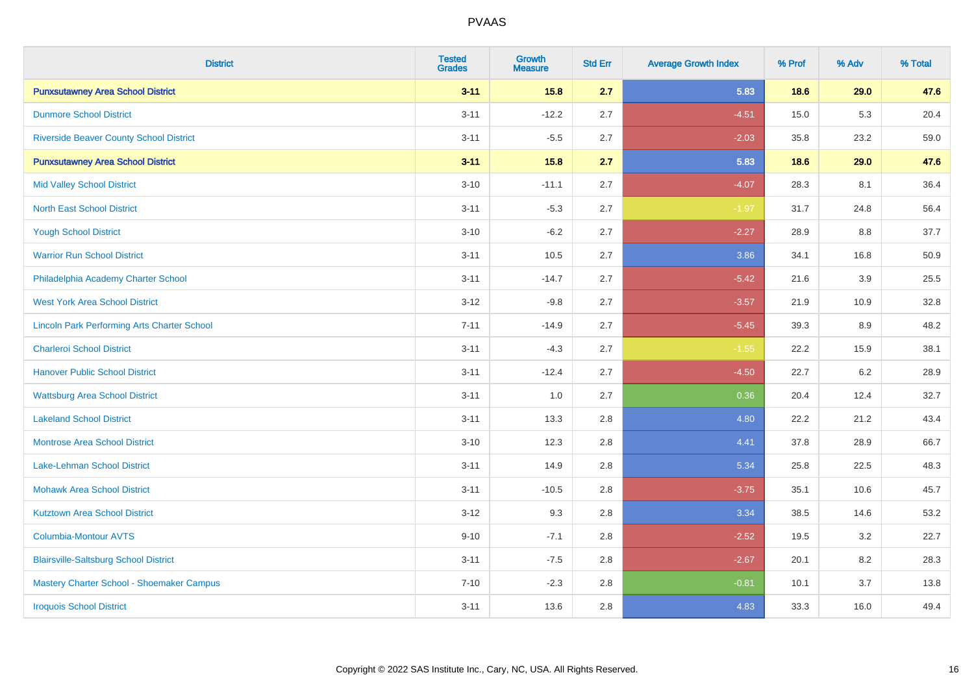| <b>District</b>                                    | <b>Tested</b><br><b>Grades</b> | <b>Growth</b><br><b>Measure</b> | <b>Std Err</b> | <b>Average Growth Index</b> | % Prof | % Adv | % Total |
|----------------------------------------------------|--------------------------------|---------------------------------|----------------|-----------------------------|--------|-------|---------|
| <b>Punxsutawney Area School District</b>           | $3 - 11$                       | 15.8                            | 2.7            | 5.83                        | 18.6   | 29.0  | 47.6    |
| <b>Dunmore School District</b>                     | $3 - 11$                       | $-12.2$                         | 2.7            | $-4.51$                     | 15.0   | 5.3   | 20.4    |
| <b>Riverside Beaver County School District</b>     | $3 - 11$                       | $-5.5$                          | 2.7            | $-2.03$                     | 35.8   | 23.2  | 59.0    |
| <b>Punxsutawney Area School District</b>           | $3 - 11$                       | 15.8                            | 2.7            | 5.83                        | 18.6   | 29.0  | 47.6    |
| <b>Mid Valley School District</b>                  | $3 - 10$                       | $-11.1$                         | 2.7            | $-4.07$                     | 28.3   | 8.1   | 36.4    |
| <b>North East School District</b>                  | $3 - 11$                       | $-5.3$                          | 2.7            | $-1.97$                     | 31.7   | 24.8  | 56.4    |
| <b>Yough School District</b>                       | $3 - 10$                       | $-6.2$                          | 2.7            | $-2.27$                     | 28.9   | 8.8   | 37.7    |
| <b>Warrior Run School District</b>                 | $3 - 11$                       | 10.5                            | 2.7            | 3.86                        | 34.1   | 16.8  | 50.9    |
| Philadelphia Academy Charter School                | $3 - 11$                       | $-14.7$                         | 2.7            | $-5.42$                     | 21.6   | 3.9   | 25.5    |
| <b>West York Area School District</b>              | $3 - 12$                       | $-9.8$                          | 2.7            | $-3.57$                     | 21.9   | 10.9  | 32.8    |
| <b>Lincoln Park Performing Arts Charter School</b> | $7 - 11$                       | $-14.9$                         | 2.7            | $-5.45$                     | 39.3   | 8.9   | 48.2    |
| <b>Charleroi School District</b>                   | $3 - 11$                       | $-4.3$                          | 2.7            | $-1.55$                     | 22.2   | 15.9  | 38.1    |
| <b>Hanover Public School District</b>              | $3 - 11$                       | $-12.4$                         | 2.7            | $-4.50$                     | 22.7   | 6.2   | 28.9    |
| <b>Wattsburg Area School District</b>              | $3 - 11$                       | 1.0                             | 2.7            | 0.36                        | 20.4   | 12.4  | 32.7    |
| <b>Lakeland School District</b>                    | $3 - 11$                       | 13.3                            | 2.8            | 4.80                        | 22.2   | 21.2  | 43.4    |
| <b>Montrose Area School District</b>               | $3 - 10$                       | 12.3                            | 2.8            | 4.41                        | 37.8   | 28.9  | 66.7    |
| Lake-Lehman School District                        | $3 - 11$                       | 14.9                            | 2.8            | 5.34                        | 25.8   | 22.5  | 48.3    |
| <b>Mohawk Area School District</b>                 | $3 - 11$                       | $-10.5$                         | 2.8            | $-3.75$                     | 35.1   | 10.6  | 45.7    |
| <b>Kutztown Area School District</b>               | $3 - 12$                       | 9.3                             | 2.8            | 3.34                        | 38.5   | 14.6  | 53.2    |
| <b>Columbia-Montour AVTS</b>                       | $9 - 10$                       | $-7.1$                          | 2.8            | $-2.52$                     | 19.5   | 3.2   | 22.7    |
| <b>Blairsville-Saltsburg School District</b>       | $3 - 11$                       | $-7.5$                          | 2.8            | $-2.67$                     | 20.1   | 8.2   | 28.3    |
| Mastery Charter School - Shoemaker Campus          | $7 - 10$                       | $-2.3$                          | 2.8            | $-0.81$                     | 10.1   | 3.7   | 13.8    |
| <b>Iroquois School District</b>                    | $3 - 11$                       | 13.6                            | 2.8            | 4.83                        | 33.3   | 16.0  | 49.4    |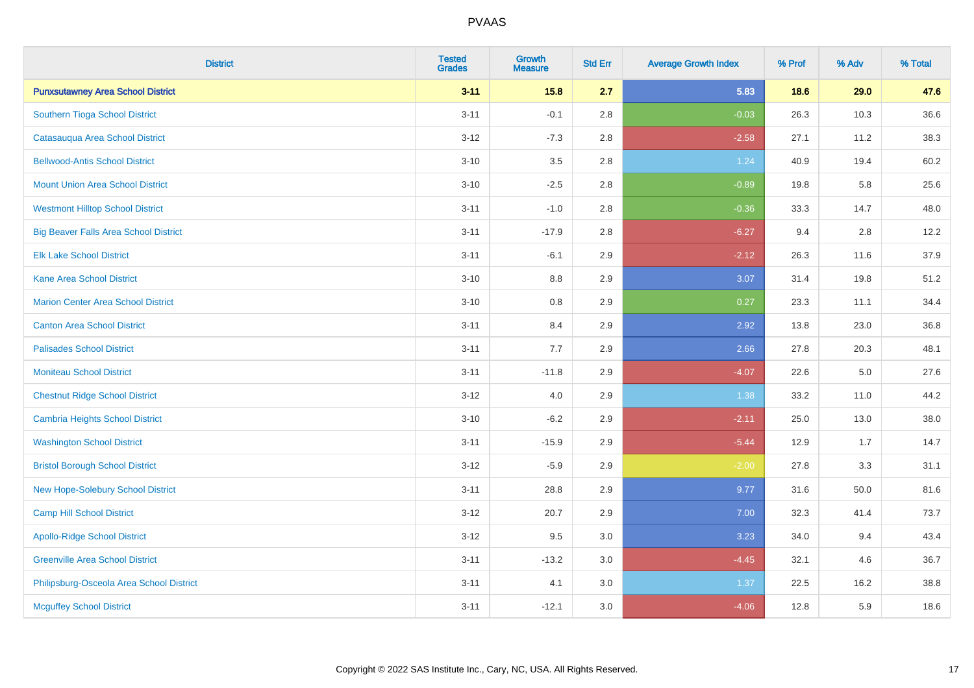| <b>District</b>                              | <b>Tested</b><br><b>Grades</b> | <b>Growth</b><br><b>Measure</b> | <b>Std Err</b> | <b>Average Growth Index</b> | % Prof | % Adv   | % Total |
|----------------------------------------------|--------------------------------|---------------------------------|----------------|-----------------------------|--------|---------|---------|
| <b>Punxsutawney Area School District</b>     | $3 - 11$                       | 15.8                            | 2.7            | 5.83                        | 18.6   | 29.0    | 47.6    |
| Southern Tioga School District               | $3 - 11$                       | $-0.1$                          | 2.8            | $-0.03$                     | 26.3   | 10.3    | 36.6    |
| Catasauqua Area School District              | $3 - 12$                       | $-7.3$                          | 2.8            | $-2.58$                     | 27.1   | 11.2    | 38.3    |
| <b>Bellwood-Antis School District</b>        | $3 - 10$                       | 3.5                             | 2.8            | 1.24                        | 40.9   | 19.4    | 60.2    |
| <b>Mount Union Area School District</b>      | $3 - 10$                       | $-2.5$                          | 2.8            | $-0.89$                     | 19.8   | 5.8     | 25.6    |
| <b>Westmont Hilltop School District</b>      | $3 - 11$                       | $-1.0$                          | 2.8            | $-0.36$                     | 33.3   | 14.7    | 48.0    |
| <b>Big Beaver Falls Area School District</b> | $3 - 11$                       | $-17.9$                         | 2.8            | $-6.27$                     | 9.4    | 2.8     | 12.2    |
| <b>Elk Lake School District</b>              | $3 - 11$                       | $-6.1$                          | 2.9            | $-2.12$                     | 26.3   | 11.6    | 37.9    |
| <b>Kane Area School District</b>             | $3 - 10$                       | 8.8                             | 2.9            | 3.07                        | 31.4   | 19.8    | 51.2    |
| Marion Center Area School District           | $3 - 10$                       | 0.8                             | 2.9            | 0.27                        | 23.3   | 11.1    | 34.4    |
| <b>Canton Area School District</b>           | $3 - 11$                       | 8.4                             | 2.9            | 2.92                        | 13.8   | 23.0    | 36.8    |
| <b>Palisades School District</b>             | $3 - 11$                       | 7.7                             | 2.9            | 2.66                        | 27.8   | 20.3    | 48.1    |
| <b>Moniteau School District</b>              | $3 - 11$                       | $-11.8$                         | 2.9            | $-4.07$                     | 22.6   | $5.0\,$ | 27.6    |
| <b>Chestnut Ridge School District</b>        | $3 - 12$                       | 4.0                             | 2.9            | 1.38                        | 33.2   | 11.0    | 44.2    |
| <b>Cambria Heights School District</b>       | $3 - 10$                       | $-6.2$                          | 2.9            | $-2.11$                     | 25.0   | 13.0    | 38.0    |
| <b>Washington School District</b>            | $3 - 11$                       | $-15.9$                         | 2.9            | $-5.44$                     | 12.9   | 1.7     | 14.7    |
| <b>Bristol Borough School District</b>       | $3 - 12$                       | $-5.9$                          | 2.9            | $-2.00$                     | 27.8   | 3.3     | 31.1    |
| New Hope-Solebury School District            | $3 - 11$                       | 28.8                            | 2.9            | 9.77                        | 31.6   | 50.0    | 81.6    |
| <b>Camp Hill School District</b>             | $3 - 12$                       | 20.7                            | 2.9            | 7.00                        | 32.3   | 41.4    | 73.7    |
| <b>Apollo-Ridge School District</b>          | $3 - 12$                       | 9.5                             | 3.0            | 3.23                        | 34.0   | 9.4     | 43.4    |
| <b>Greenville Area School District</b>       | $3 - 11$                       | $-13.2$                         | 3.0            | $-4.45$                     | 32.1   | 4.6     | 36.7    |
| Philipsburg-Osceola Area School District     | $3 - 11$                       | 4.1                             | 3.0            | 1.37                        | 22.5   | 16.2    | 38.8    |
| <b>Mcguffey School District</b>              | $3 - 11$                       | $-12.1$                         | 3.0            | $-4.06$                     | 12.8   | 5.9     | 18.6    |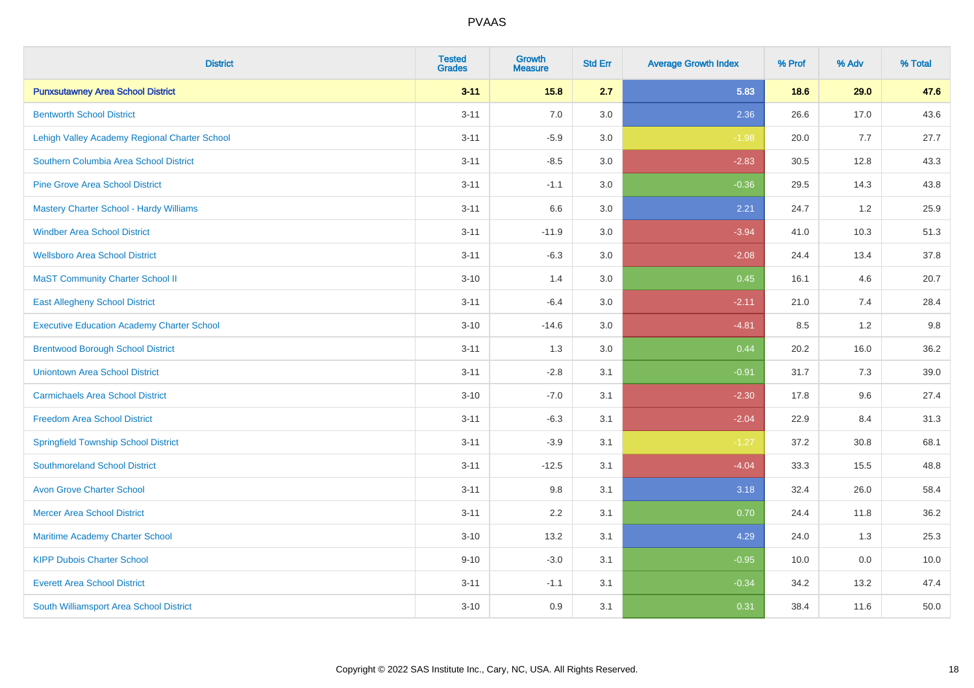| <b>District</b>                                   | <b>Tested</b><br><b>Grades</b> | <b>Growth</b><br><b>Measure</b> | <b>Std Err</b> | <b>Average Growth Index</b> | % Prof | % Adv | % Total |
|---------------------------------------------------|--------------------------------|---------------------------------|----------------|-----------------------------|--------|-------|---------|
| <b>Punxsutawney Area School District</b>          | $3 - 11$                       | 15.8                            | 2.7            | 5.83                        | 18.6   | 29.0  | 47.6    |
| <b>Bentworth School District</b>                  | $3 - 11$                       | 7.0                             | 3.0            | 2.36                        | 26.6   | 17.0  | 43.6    |
| Lehigh Valley Academy Regional Charter School     | $3 - 11$                       | $-5.9$                          | 3.0            | $-1.98$                     | 20.0   | 7.7   | 27.7    |
| Southern Columbia Area School District            | $3 - 11$                       | $-8.5$                          | 3.0            | $-2.83$                     | 30.5   | 12.8  | 43.3    |
| <b>Pine Grove Area School District</b>            | $3 - 11$                       | $-1.1$                          | 3.0            | $-0.36$                     | 29.5   | 14.3  | 43.8    |
| Mastery Charter School - Hardy Williams           | $3 - 11$                       | 6.6                             | 3.0            | 2.21                        | 24.7   | 1.2   | 25.9    |
| <b>Windber Area School District</b>               | $3 - 11$                       | $-11.9$                         | 3.0            | $-3.94$                     | 41.0   | 10.3  | 51.3    |
| <b>Wellsboro Area School District</b>             | $3 - 11$                       | $-6.3$                          | 3.0            | $-2.08$                     | 24.4   | 13.4  | 37.8    |
| <b>MaST Community Charter School II</b>           | $3 - 10$                       | 1.4                             | 3.0            | 0.45                        | 16.1   | 4.6   | 20.7    |
| <b>East Allegheny School District</b>             | $3 - 11$                       | $-6.4$                          | 3.0            | $-2.11$                     | 21.0   | 7.4   | 28.4    |
| <b>Executive Education Academy Charter School</b> | $3 - 10$                       | $-14.6$                         | 3.0            | $-4.81$                     | 8.5    | 1.2   | 9.8     |
| <b>Brentwood Borough School District</b>          | $3 - 11$                       | 1.3                             | 3.0            | 0.44                        | 20.2   | 16.0  | 36.2    |
| <b>Uniontown Area School District</b>             | $3 - 11$                       | $-2.8$                          | 3.1            | $-0.91$                     | 31.7   | 7.3   | 39.0    |
| <b>Carmichaels Area School District</b>           | $3 - 10$                       | $-7.0$                          | 3.1            | $-2.30$                     | 17.8   | 9.6   | 27.4    |
| <b>Freedom Area School District</b>               | $3 - 11$                       | $-6.3$                          | 3.1            | $-2.04$                     | 22.9   | 8.4   | 31.3    |
| <b>Springfield Township School District</b>       | $3 - 11$                       | $-3.9$                          | 3.1            | $-1.27$                     | 37.2   | 30.8  | 68.1    |
| <b>Southmoreland School District</b>              | $3 - 11$                       | $-12.5$                         | 3.1            | $-4.04$                     | 33.3   | 15.5  | 48.8    |
| <b>Avon Grove Charter School</b>                  | $3 - 11$                       | 9.8                             | 3.1            | 3.18                        | 32.4   | 26.0  | 58.4    |
| <b>Mercer Area School District</b>                | $3 - 11$                       | 2.2                             | 3.1            | 0.70                        | 24.4   | 11.8  | 36.2    |
| Maritime Academy Charter School                   | $3 - 10$                       | 13.2                            | 3.1            | 4.29                        | 24.0   | 1.3   | 25.3    |
| <b>KIPP Dubois Charter School</b>                 | $9 - 10$                       | $-3.0$                          | 3.1            | $-0.95$                     | 10.0   | 0.0   | 10.0    |
| <b>Everett Area School District</b>               | $3 - 11$                       | $-1.1$                          | 3.1            | $-0.34$                     | 34.2   | 13.2  | 47.4    |
| South Williamsport Area School District           | $3 - 10$                       | 0.9                             | 3.1            | 0.31                        | 38.4   | 11.6  | 50.0    |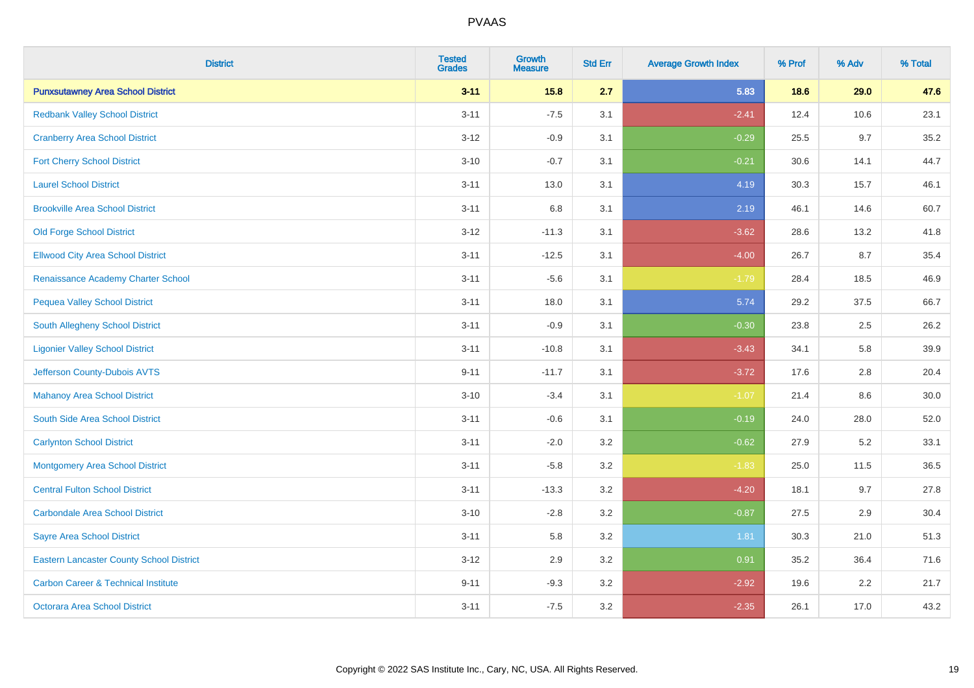| <b>District</b>                                 | <b>Tested</b><br><b>Grades</b> | <b>Growth</b><br><b>Measure</b> | <b>Std Err</b> | <b>Average Growth Index</b> | % Prof | % Adv | % Total |
|-------------------------------------------------|--------------------------------|---------------------------------|----------------|-----------------------------|--------|-------|---------|
| <b>Punxsutawney Area School District</b>        | $3 - 11$                       | 15.8                            | 2.7            | 5.83                        | 18.6   | 29.0  | 47.6    |
| <b>Redbank Valley School District</b>           | $3 - 11$                       | $-7.5$                          | 3.1            | $-2.41$                     | 12.4   | 10.6  | 23.1    |
| <b>Cranberry Area School District</b>           | $3 - 12$                       | $-0.9$                          | 3.1            | $-0.29$                     | 25.5   | 9.7   | 35.2    |
| <b>Fort Cherry School District</b>              | $3 - 10$                       | $-0.7$                          | 3.1            | $-0.21$                     | 30.6   | 14.1  | 44.7    |
| <b>Laurel School District</b>                   | $3 - 11$                       | 13.0                            | 3.1            | 4.19                        | 30.3   | 15.7  | 46.1    |
| <b>Brookville Area School District</b>          | $3 - 11$                       | 6.8                             | 3.1            | 2.19                        | 46.1   | 14.6  | 60.7    |
| <b>Old Forge School District</b>                | $3 - 12$                       | $-11.3$                         | 3.1            | $-3.62$                     | 28.6   | 13.2  | 41.8    |
| <b>Ellwood City Area School District</b>        | $3 - 11$                       | $-12.5$                         | 3.1            | $-4.00$                     | 26.7   | 8.7   | 35.4    |
| Renaissance Academy Charter School              | $3 - 11$                       | $-5.6$                          | 3.1            | $-1.79$                     | 28.4   | 18.5  | 46.9    |
| <b>Pequea Valley School District</b>            | $3 - 11$                       | 18.0                            | 3.1            | 5.74                        | 29.2   | 37.5  | 66.7    |
| South Allegheny School District                 | $3 - 11$                       | $-0.9$                          | 3.1            | $-0.30$                     | 23.8   | 2.5   | 26.2    |
| <b>Ligonier Valley School District</b>          | $3 - 11$                       | $-10.8$                         | 3.1            | $-3.43$                     | 34.1   | 5.8   | 39.9    |
| Jefferson County-Dubois AVTS                    | $9 - 11$                       | $-11.7$                         | 3.1            | $-3.72$                     | 17.6   | 2.8   | 20.4    |
| <b>Mahanoy Area School District</b>             | $3 - 10$                       | $-3.4$                          | 3.1            | $-1.07$                     | 21.4   | 8.6   | 30.0    |
| South Side Area School District                 | $3 - 11$                       | $-0.6$                          | 3.1            | $-0.19$                     | 24.0   | 28.0  | 52.0    |
| <b>Carlynton School District</b>                | $3 - 11$                       | $-2.0$                          | 3.2            | $-0.62$                     | 27.9   | 5.2   | 33.1    |
| <b>Montgomery Area School District</b>          | $3 - 11$                       | $-5.8$                          | 3.2            | $-1.83$                     | 25.0   | 11.5  | 36.5    |
| <b>Central Fulton School District</b>           | $3 - 11$                       | $-13.3$                         | 3.2            | $-4.20$                     | 18.1   | 9.7   | 27.8    |
| <b>Carbondale Area School District</b>          | $3 - 10$                       | $-2.8$                          | 3.2            | $-0.87$                     | 27.5   | 2.9   | 30.4    |
| Sayre Area School District                      | $3 - 11$                       | 5.8                             | 3.2            | 1.81                        | 30.3   | 21.0  | 51.3    |
| <b>Eastern Lancaster County School District</b> | $3 - 12$                       | 2.9                             | 3.2            | 0.91                        | 35.2   | 36.4  | 71.6    |
| <b>Carbon Career &amp; Technical Institute</b>  | $9 - 11$                       | $-9.3$                          | 3.2            | $-2.92$                     | 19.6   | 2.2   | 21.7    |
| <b>Octorara Area School District</b>            | $3 - 11$                       | $-7.5$                          | 3.2            | $-2.35$                     | 26.1   | 17.0  | 43.2    |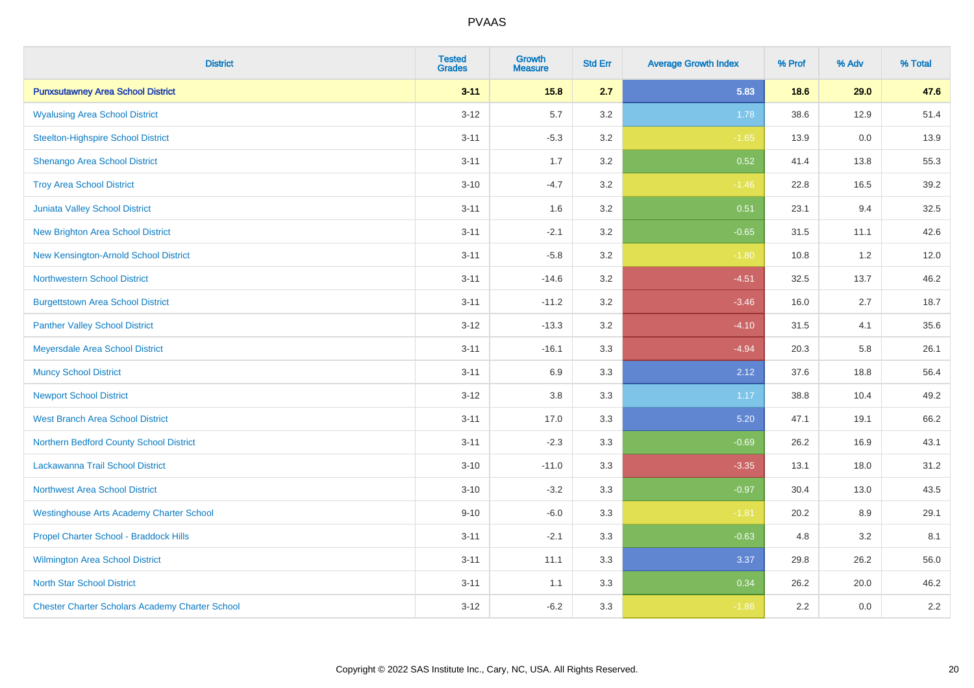| <b>District</b>                                        | <b>Tested</b><br><b>Grades</b> | <b>Growth</b><br><b>Measure</b> | <b>Std Err</b> | <b>Average Growth Index</b> | % Prof | % Adv | % Total |
|--------------------------------------------------------|--------------------------------|---------------------------------|----------------|-----------------------------|--------|-------|---------|
| <b>Punxsutawney Area School District</b>               | $3 - 11$                       | 15.8                            | 2.7            | 5.83                        | 18.6   | 29.0  | 47.6    |
| <b>Wyalusing Area School District</b>                  | $3 - 12$                       | 5.7                             | 3.2            | 1.78                        | 38.6   | 12.9  | 51.4    |
| <b>Steelton-Highspire School District</b>              | $3 - 11$                       | $-5.3$                          | 3.2            | $-1.65$                     | 13.9   | 0.0   | 13.9    |
| Shenango Area School District                          | $3 - 11$                       | 1.7                             | 3.2            | 0.52                        | 41.4   | 13.8  | 55.3    |
| <b>Troy Area School District</b>                       | $3 - 10$                       | $-4.7$                          | 3.2            | $-1.46$                     | 22.8   | 16.5  | 39.2    |
| Juniata Valley School District                         | $3 - 11$                       | 1.6                             | 3.2            | 0.51                        | 23.1   | 9.4   | 32.5    |
| <b>New Brighton Area School District</b>               | $3 - 11$                       | $-2.1$                          | 3.2            | $-0.65$                     | 31.5   | 11.1  | 42.6    |
| New Kensington-Arnold School District                  | $3 - 11$                       | $-5.8$                          | 3.2            | $-1.80$                     | 10.8   | 1.2   | 12.0    |
| <b>Northwestern School District</b>                    | $3 - 11$                       | $-14.6$                         | 3.2            | $-4.51$                     | 32.5   | 13.7  | 46.2    |
| <b>Burgettstown Area School District</b>               | $3 - 11$                       | $-11.2$                         | 3.2            | $-3.46$                     | 16.0   | 2.7   | 18.7    |
| <b>Panther Valley School District</b>                  | $3 - 12$                       | $-13.3$                         | 3.2            | $-4.10$                     | 31.5   | 4.1   | 35.6    |
| Meyersdale Area School District                        | $3 - 11$                       | $-16.1$                         | 3.3            | $-4.94$                     | 20.3   | 5.8   | 26.1    |
| <b>Muncy School District</b>                           | $3 - 11$                       | 6.9                             | 3.3            | 2.12                        | 37.6   | 18.8  | 56.4    |
| <b>Newport School District</b>                         | $3 - 12$                       | $3.8\,$                         | 3.3            | 1.17                        | 38.8   | 10.4  | 49.2    |
| <b>West Branch Area School District</b>                | $3 - 11$                       | 17.0                            | 3.3            | 5.20                        | 47.1   | 19.1  | 66.2    |
| Northern Bedford County School District                | $3 - 11$                       | $-2.3$                          | 3.3            | $-0.69$                     | 26.2   | 16.9  | 43.1    |
| Lackawanna Trail School District                       | $3 - 10$                       | $-11.0$                         | 3.3            | $-3.35$                     | 13.1   | 18.0  | 31.2    |
| <b>Northwest Area School District</b>                  | $3 - 10$                       | $-3.2$                          | 3.3            | $-0.97$                     | 30.4   | 13.0  | 43.5    |
| <b>Westinghouse Arts Academy Charter School</b>        | $9 - 10$                       | $-6.0$                          | 3.3            | $-1.81$                     | 20.2   | 8.9   | 29.1    |
| Propel Charter School - Braddock Hills                 | $3 - 11$                       | $-2.1$                          | 3.3            | $-0.63$                     | 4.8    | 3.2   | 8.1     |
| Wilmington Area School District                        | $3 - 11$                       | 11.1                            | 3.3            | 3.37                        | 29.8   | 26.2  | 56.0    |
| <b>North Star School District</b>                      | $3 - 11$                       | 1.1                             | 3.3            | 0.34                        | 26.2   | 20.0  | 46.2    |
| <b>Chester Charter Scholars Academy Charter School</b> | $3 - 12$                       | $-6.2$                          | 3.3            | $-1.88$                     | 2.2    | 0.0   | 2.2     |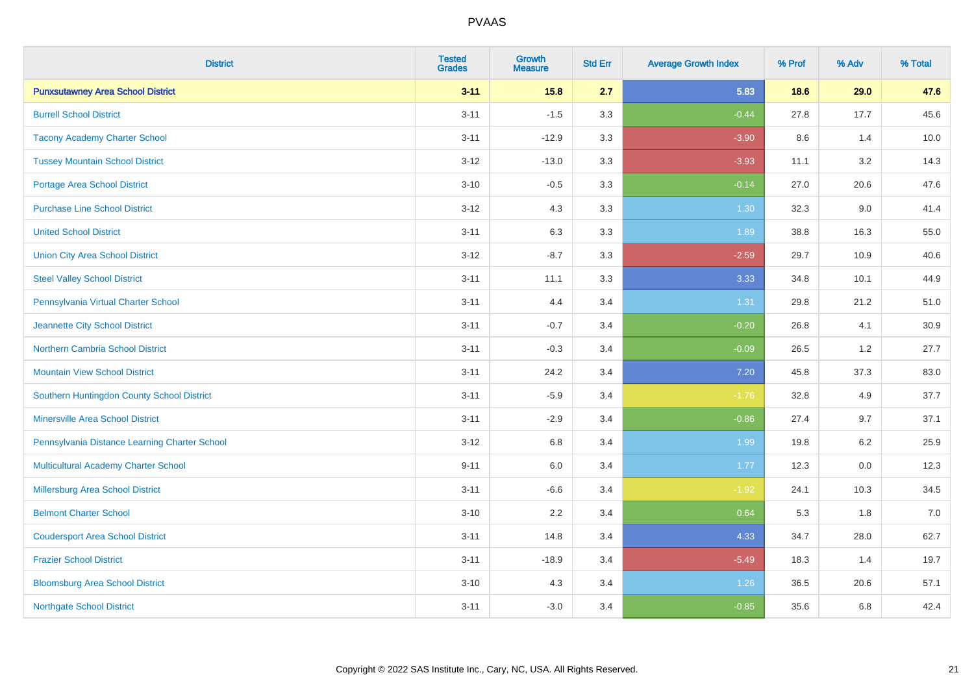| <b>District</b>                               | <b>Tested</b><br><b>Grades</b> | <b>Growth</b><br><b>Measure</b> | <b>Std Err</b> | <b>Average Growth Index</b> | % Prof | % Adv | % Total |
|-----------------------------------------------|--------------------------------|---------------------------------|----------------|-----------------------------|--------|-------|---------|
| <b>Punxsutawney Area School District</b>      | $3 - 11$                       | 15.8                            | 2.7            | 5.83                        | 18.6   | 29.0  | 47.6    |
| <b>Burrell School District</b>                | $3 - 11$                       | $-1.5$                          | 3.3            | $-0.44$                     | 27.8   | 17.7  | 45.6    |
| <b>Tacony Academy Charter School</b>          | $3 - 11$                       | $-12.9$                         | 3.3            | $-3.90$                     | 8.6    | 1.4   | 10.0    |
| <b>Tussey Mountain School District</b>        | $3 - 12$                       | $-13.0$                         | 3.3            | $-3.93$                     | 11.1   | 3.2   | 14.3    |
| <b>Portage Area School District</b>           | $3 - 10$                       | $-0.5$                          | 3.3            | $-0.14$                     | 27.0   | 20.6  | 47.6    |
| <b>Purchase Line School District</b>          | $3 - 12$                       | 4.3                             | 3.3            | 1.30                        | 32.3   | 9.0   | 41.4    |
| <b>United School District</b>                 | $3 - 11$                       | 6.3                             | 3.3            | 1.89                        | 38.8   | 16.3  | 55.0    |
| <b>Union City Area School District</b>        | $3 - 12$                       | $-8.7$                          | 3.3            | $-2.59$                     | 29.7   | 10.9  | 40.6    |
| <b>Steel Valley School District</b>           | $3 - 11$                       | 11.1                            | 3.3            | 3.33                        | 34.8   | 10.1  | 44.9    |
| Pennsylvania Virtual Charter School           | $3 - 11$                       | 4.4                             | 3.4            | 1.31                        | 29.8   | 21.2  | 51.0    |
| Jeannette City School District                | $3 - 11$                       | $-0.7$                          | 3.4            | $-0.20$                     | 26.8   | 4.1   | 30.9    |
| <b>Northern Cambria School District</b>       | $3 - 11$                       | $-0.3$                          | 3.4            | $-0.09$                     | 26.5   | 1.2   | 27.7    |
| <b>Mountain View School District</b>          | $3 - 11$                       | 24.2                            | 3.4            | $7.20$                      | 45.8   | 37.3  | 83.0    |
| Southern Huntingdon County School District    | $3 - 11$                       | $-5.9$                          | 3.4            | $-1.76$                     | 32.8   | 4.9   | 37.7    |
| <b>Minersville Area School District</b>       | $3 - 11$                       | $-2.9$                          | 3.4            | $-0.86$                     | 27.4   | 9.7   | 37.1    |
| Pennsylvania Distance Learning Charter School | $3 - 12$                       | 6.8                             | 3.4            | 1.99                        | 19.8   | 6.2   | 25.9    |
| <b>Multicultural Academy Charter School</b>   | $9 - 11$                       | 6.0                             | 3.4            | 1.77                        | 12.3   | 0.0   | 12.3    |
| Millersburg Area School District              | $3 - 11$                       | $-6.6$                          | 3.4            | $-1.92$                     | 24.1   | 10.3  | 34.5    |
| <b>Belmont Charter School</b>                 | $3 - 10$                       | 2.2                             | 3.4            | 0.64                        | 5.3    | 1.8   | $7.0$   |
| <b>Coudersport Area School District</b>       | $3 - 11$                       | 14.8                            | 3.4            | 4.33                        | 34.7   | 28.0  | 62.7    |
| <b>Frazier School District</b>                | $3 - 11$                       | $-18.9$                         | 3.4            | $-5.49$                     | 18.3   | 1.4   | 19.7    |
| <b>Bloomsburg Area School District</b>        | $3 - 10$                       | 4.3                             | 3.4            | 1.26                        | 36.5   | 20.6  | 57.1    |
| <b>Northgate School District</b>              | $3 - 11$                       | $-3.0$                          | 3.4            | $-0.85$                     | 35.6   | 6.8   | 42.4    |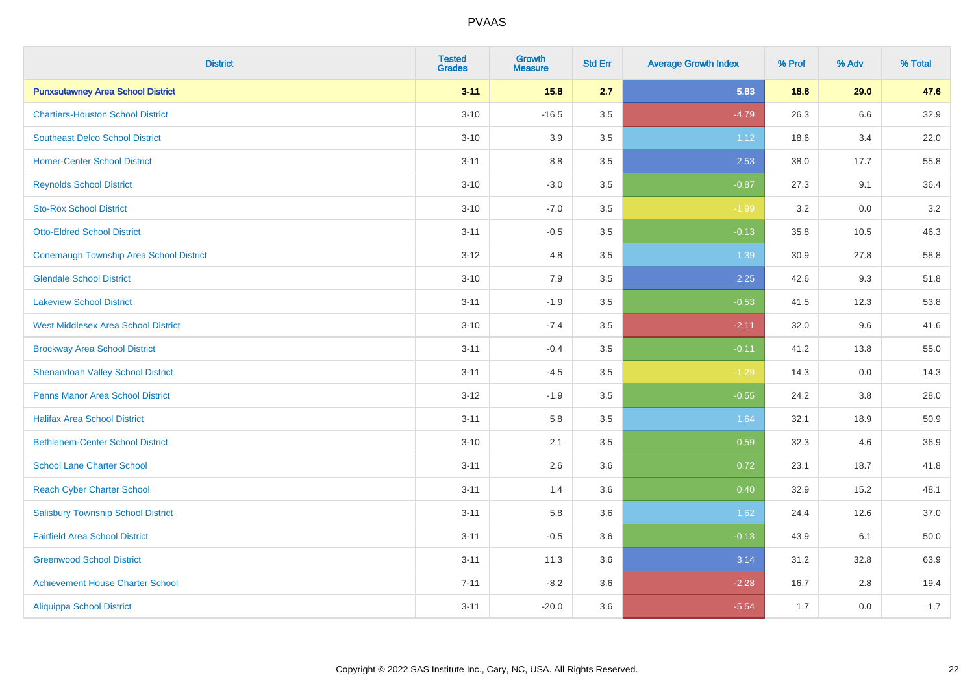| <b>District</b>                                | <b>Tested</b><br><b>Grades</b> | <b>Growth</b><br><b>Measure</b> | <b>Std Err</b> | <b>Average Growth Index</b> | % Prof | % Adv | % Total |
|------------------------------------------------|--------------------------------|---------------------------------|----------------|-----------------------------|--------|-------|---------|
| <b>Punxsutawney Area School District</b>       | $3 - 11$                       | 15.8                            | 2.7            | 5.83                        | 18.6   | 29.0  | 47.6    |
| <b>Chartiers-Houston School District</b>       | $3 - 10$                       | $-16.5$                         | 3.5            | $-4.79$                     | 26.3   | 6.6   | 32.9    |
| <b>Southeast Delco School District</b>         | $3 - 10$                       | 3.9                             | 3.5            | 1.12                        | 18.6   | 3.4   | 22.0    |
| <b>Homer-Center School District</b>            | $3 - 11$                       | $8.8\,$                         | 3.5            | 2.53                        | 38.0   | 17.7  | 55.8    |
| <b>Reynolds School District</b>                | $3 - 10$                       | $-3.0$                          | 3.5            | $-0.87$                     | 27.3   | 9.1   | 36.4    |
| <b>Sto-Rox School District</b>                 | $3 - 10$                       | $-7.0$                          | 3.5            | $-1.99$                     | 3.2    | 0.0   | 3.2     |
| <b>Otto-Eldred School District</b>             | $3 - 11$                       | $-0.5$                          | 3.5            | $-0.13$                     | 35.8   | 10.5  | 46.3    |
| <b>Conemaugh Township Area School District</b> | $3 - 12$                       | 4.8                             | 3.5            | 1.39                        | 30.9   | 27.8  | 58.8    |
| <b>Glendale School District</b>                | $3 - 10$                       | 7.9                             | 3.5            | 2.25                        | 42.6   | 9.3   | 51.8    |
| <b>Lakeview School District</b>                | $3 - 11$                       | $-1.9$                          | 3.5            | $-0.53$                     | 41.5   | 12.3  | 53.8    |
| <b>West Middlesex Area School District</b>     | $3 - 10$                       | $-7.4$                          | 3.5            | $-2.11$                     | 32.0   | 9.6   | 41.6    |
| <b>Brockway Area School District</b>           | $3 - 11$                       | $-0.4$                          | 3.5            | $-0.11$                     | 41.2   | 13.8  | 55.0    |
| <b>Shenandoah Valley School District</b>       | $3 - 11$                       | $-4.5$                          | 3.5            | $-1.29$                     | 14.3   | 0.0   | 14.3    |
| <b>Penns Manor Area School District</b>        | $3 - 12$                       | $-1.9$                          | 3.5            | $-0.55$                     | 24.2   | 3.8   | 28.0    |
| <b>Halifax Area School District</b>            | $3 - 11$                       | 5.8                             | 3.5            | 1.64                        | 32.1   | 18.9  | 50.9    |
| <b>Bethlehem-Center School District</b>        | $3 - 10$                       | 2.1                             | 3.5            | 0.59                        | 32.3   | 4.6   | 36.9    |
| <b>School Lane Charter School</b>              | $3 - 11$                       | 2.6                             | 3.6            | 0.72                        | 23.1   | 18.7  | 41.8    |
| <b>Reach Cyber Charter School</b>              | $3 - 11$                       | 1.4                             | 3.6            | 0.40                        | 32.9   | 15.2  | 48.1    |
| <b>Salisbury Township School District</b>      | $3 - 11$                       | 5.8                             | 3.6            | 1.62                        | 24.4   | 12.6  | 37.0    |
| <b>Fairfield Area School District</b>          | $3 - 11$                       | $-0.5$                          | 3.6            | $-0.13$                     | 43.9   | 6.1   | 50.0    |
| <b>Greenwood School District</b>               | $3 - 11$                       | 11.3                            | 3.6            | 3.14                        | 31.2   | 32.8  | 63.9    |
| <b>Achievement House Charter School</b>        | $7 - 11$                       | $-8.2$                          | 3.6            | $-2.28$                     | 16.7   | 2.8   | 19.4    |
| <b>Aliquippa School District</b>               | $3 - 11$                       | $-20.0$                         | 3.6            | $-5.54$                     | 1.7    | 0.0   | 1.7     |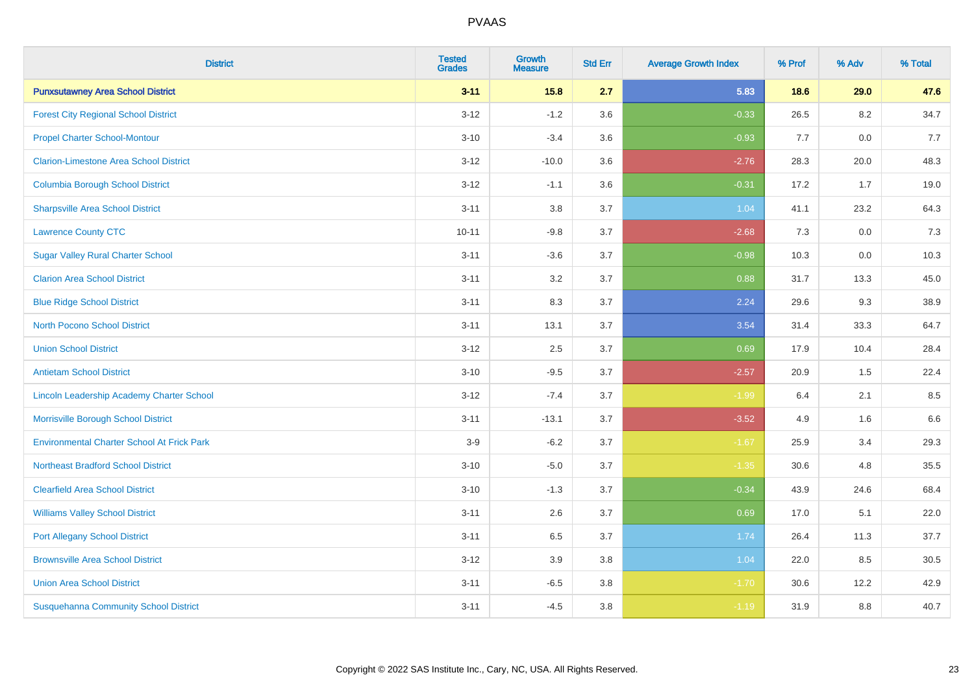| <b>District</b>                                   | <b>Tested</b><br><b>Grades</b> | <b>Growth</b><br><b>Measure</b> | <b>Std Err</b> | <b>Average Growth Index</b> | % Prof | % Adv | % Total |
|---------------------------------------------------|--------------------------------|---------------------------------|----------------|-----------------------------|--------|-------|---------|
| <b>Punxsutawney Area School District</b>          | $3 - 11$                       | 15.8                            | 2.7            | 5.83                        | 18.6   | 29.0  | 47.6    |
| <b>Forest City Regional School District</b>       | $3 - 12$                       | $-1.2$                          | 3.6            | $-0.33$                     | 26.5   | 8.2   | 34.7    |
| <b>Propel Charter School-Montour</b>              | $3 - 10$                       | $-3.4$                          | 3.6            | $-0.93$                     | 7.7    | 0.0   | 7.7     |
| <b>Clarion-Limestone Area School District</b>     | $3 - 12$                       | $-10.0$                         | 3.6            | $-2.76$                     | 28.3   | 20.0  | 48.3    |
| <b>Columbia Borough School District</b>           | $3 - 12$                       | $-1.1$                          | 3.6            | $-0.31$                     | 17.2   | 1.7   | 19.0    |
| <b>Sharpsville Area School District</b>           | $3 - 11$                       | 3.8                             | 3.7            | 1.04                        | 41.1   | 23.2  | 64.3    |
| <b>Lawrence County CTC</b>                        | $10 - 11$                      | $-9.8$                          | 3.7            | $-2.68$                     | 7.3    | 0.0   | 7.3     |
| <b>Sugar Valley Rural Charter School</b>          | $3 - 11$                       | $-3.6$                          | 3.7            | $-0.98$                     | 10.3   | 0.0   | 10.3    |
| <b>Clarion Area School District</b>               | $3 - 11$                       | 3.2                             | 3.7            | 0.88                        | 31.7   | 13.3  | 45.0    |
| <b>Blue Ridge School District</b>                 | $3 - 11$                       | 8.3                             | 3.7            | 2.24                        | 29.6   | 9.3   | 38.9    |
| <b>North Pocono School District</b>               | $3 - 11$                       | 13.1                            | 3.7            | 3.54                        | 31.4   | 33.3  | 64.7    |
| <b>Union School District</b>                      | $3 - 12$                       | 2.5                             | 3.7            | 0.69                        | 17.9   | 10.4  | 28.4    |
| <b>Antietam School District</b>                   | $3 - 10$                       | $-9.5$                          | 3.7            | $-2.57$                     | 20.9   | 1.5   | 22.4    |
| Lincoln Leadership Academy Charter School         | $3 - 12$                       | $-7.4$                          | 3.7            | $-1.99$                     | 6.4    | 2.1   | 8.5     |
| Morrisville Borough School District               | $3 - 11$                       | $-13.1$                         | 3.7            | $-3.52$                     | 4.9    | 1.6   | 6.6     |
| <b>Environmental Charter School At Frick Park</b> | $3-9$                          | $-6.2$                          | 3.7            | $-1.67$                     | 25.9   | 3.4   | 29.3    |
| <b>Northeast Bradford School District</b>         | $3 - 10$                       | $-5.0$                          | 3.7            | $-1.35$                     | 30.6   | 4.8   | 35.5    |
| <b>Clearfield Area School District</b>            | $3 - 10$                       | $-1.3$                          | 3.7            | $-0.34$                     | 43.9   | 24.6  | 68.4    |
| <b>Williams Valley School District</b>            | $3 - 11$                       | 2.6                             | 3.7            | 0.69                        | 17.0   | 5.1   | 22.0    |
| <b>Port Allegany School District</b>              | $3 - 11$                       | 6.5                             | 3.7            | 1.74                        | 26.4   | 11.3  | 37.7    |
| <b>Brownsville Area School District</b>           | $3 - 12$                       | 3.9                             | 3.8            | 1.04                        | 22.0   | 8.5   | 30.5    |
| <b>Union Area School District</b>                 | $3 - 11$                       | $-6.5$                          | 3.8            | $-1.70$                     | 30.6   | 12.2  | 42.9    |
| <b>Susquehanna Community School District</b>      | $3 - 11$                       | $-4.5$                          | 3.8            | $-1.19$                     | 31.9   | 8.8   | 40.7    |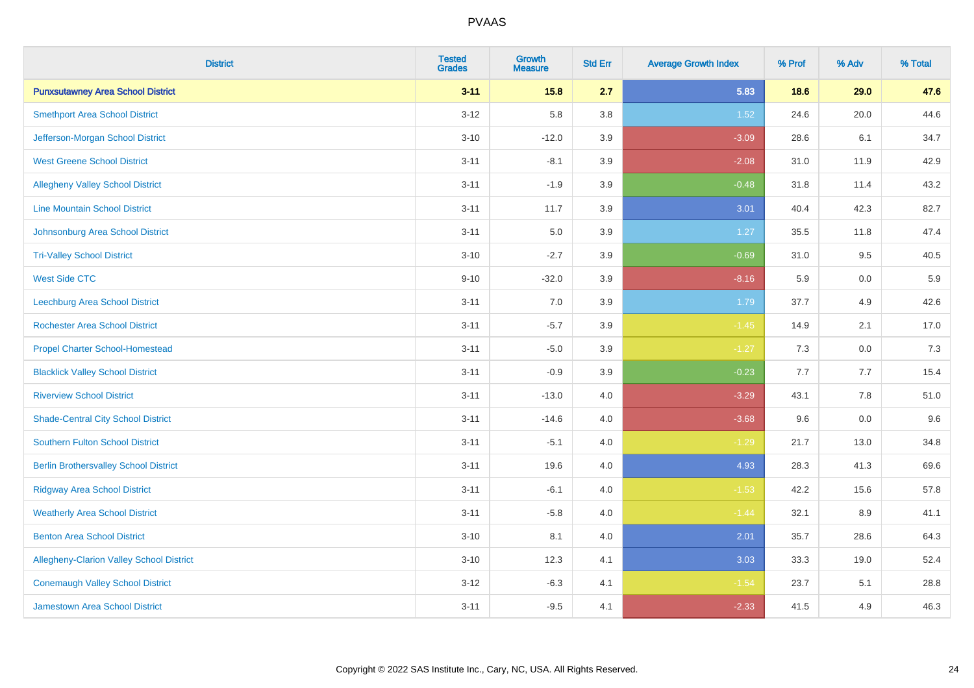| <b>District</b>                                 | <b>Tested</b><br><b>Grades</b> | <b>Growth</b><br><b>Measure</b> | <b>Std Err</b> | <b>Average Growth Index</b> | % Prof | % Adv   | % Total |
|-------------------------------------------------|--------------------------------|---------------------------------|----------------|-----------------------------|--------|---------|---------|
| <b>Punxsutawney Area School District</b>        | $3 - 11$                       | 15.8                            | 2.7            | 5.83                        | 18.6   | 29.0    | 47.6    |
| <b>Smethport Area School District</b>           | $3 - 12$                       | 5.8                             | 3.8            | 1.52                        | 24.6   | 20.0    | 44.6    |
| Jefferson-Morgan School District                | $3 - 10$                       | $-12.0$                         | 3.9            | $-3.09$                     | 28.6   | 6.1     | 34.7    |
| <b>West Greene School District</b>              | $3 - 11$                       | $-8.1$                          | 3.9            | $-2.08$                     | 31.0   | 11.9    | 42.9    |
| <b>Allegheny Valley School District</b>         | $3 - 11$                       | $-1.9$                          | 3.9            | $-0.48$                     | 31.8   | 11.4    | 43.2    |
| <b>Line Mountain School District</b>            | $3 - 11$                       | 11.7                            | 3.9            | 3.01                        | 40.4   | 42.3    | 82.7    |
| Johnsonburg Area School District                | $3 - 11$                       | 5.0                             | 3.9            | 1.27                        | 35.5   | 11.8    | 47.4    |
| <b>Tri-Valley School District</b>               | $3 - 10$                       | $-2.7$                          | 3.9            | $-0.69$                     | 31.0   | 9.5     | 40.5    |
| <b>West Side CTC</b>                            | $9 - 10$                       | $-32.0$                         | 3.9            | $-8.16$                     | 5.9    | 0.0     | 5.9     |
| Leechburg Area School District                  | $3 - 11$                       | 7.0                             | 3.9            | 1.79                        | 37.7   | 4.9     | 42.6    |
| <b>Rochester Area School District</b>           | $3 - 11$                       | $-5.7$                          | 3.9            | $-1.45$                     | 14.9   | 2.1     | 17.0    |
| <b>Propel Charter School-Homestead</b>          | $3 - 11$                       | $-5.0$                          | 3.9            | $-1.27$                     | 7.3    | 0.0     | 7.3     |
| <b>Blacklick Valley School District</b>         | $3 - 11$                       | $-0.9$                          | 3.9            | $-0.23$                     | 7.7    | 7.7     | 15.4    |
| <b>Riverview School District</b>                | $3 - 11$                       | $-13.0$                         | $4.0\,$        | $-3.29$                     | 43.1   | $7.8\,$ | 51.0    |
| <b>Shade-Central City School District</b>       | $3 - 11$                       | $-14.6$                         | 4.0            | $-3.68$                     | 9.6    | 0.0     | 9.6     |
| <b>Southern Fulton School District</b>          | $3 - 11$                       | $-5.1$                          | 4.0            | $-1.29$                     | 21.7   | 13.0    | 34.8    |
| <b>Berlin Brothersvalley School District</b>    | $3 - 11$                       | 19.6                            | 4.0            | 4.93                        | 28.3   | 41.3    | 69.6    |
| <b>Ridgway Area School District</b>             | $3 - 11$                       | $-6.1$                          | 4.0            | $-1.53$                     | 42.2   | 15.6    | 57.8    |
| <b>Weatherly Area School District</b>           | $3 - 11$                       | $-5.8$                          | $4.0\,$        | $-1.44$                     | 32.1   | 8.9     | 41.1    |
| <b>Benton Area School District</b>              | $3 - 10$                       | 8.1                             | 4.0            | 2.01                        | 35.7   | 28.6    | 64.3    |
| <b>Allegheny-Clarion Valley School District</b> | $3 - 10$                       | 12.3                            | 4.1            | 3.03                        | 33.3   | 19.0    | 52.4    |
| <b>Conemaugh Valley School District</b>         | $3 - 12$                       | $-6.3$                          | 4.1            | $-1.54$                     | 23.7   | 5.1     | 28.8    |
| Jamestown Area School District                  | $3 - 11$                       | $-9.5$                          | 4.1            | $-2.33$                     | 41.5   | 4.9     | 46.3    |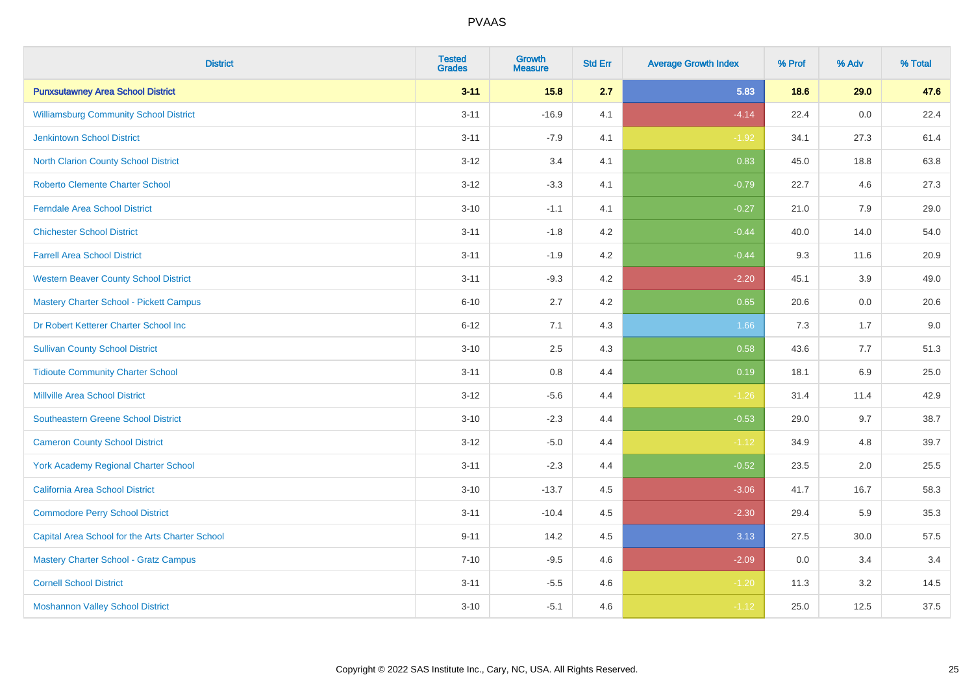| <b>District</b>                                 | <b>Tested</b><br><b>Grades</b> | <b>Growth</b><br><b>Measure</b> | <b>Std Err</b> | <b>Average Growth Index</b> | % Prof | % Adv | % Total |
|-------------------------------------------------|--------------------------------|---------------------------------|----------------|-----------------------------|--------|-------|---------|
| <b>Punxsutawney Area School District</b>        | $3 - 11$                       | 15.8                            | 2.7            | 5.83                        | 18.6   | 29.0  | 47.6    |
| <b>Williamsburg Community School District</b>   | $3 - 11$                       | $-16.9$                         | 4.1            | $-4.14$                     | 22.4   | 0.0   | 22.4    |
| <b>Jenkintown School District</b>               | $3 - 11$                       | $-7.9$                          | 4.1            | $-1.92$                     | 34.1   | 27.3  | 61.4    |
| North Clarion County School District            | $3 - 12$                       | 3.4                             | 4.1            | 0.83                        | 45.0   | 18.8  | 63.8    |
| <b>Roberto Clemente Charter School</b>          | $3 - 12$                       | $-3.3$                          | 4.1            | $-0.79$                     | 22.7   | 4.6   | 27.3    |
| <b>Ferndale Area School District</b>            | $3 - 10$                       | $-1.1$                          | 4.1            | $-0.27$                     | 21.0   | 7.9   | 29.0    |
| <b>Chichester School District</b>               | $3 - 11$                       | $-1.8$                          | 4.2            | $-0.44$                     | 40.0   | 14.0  | 54.0    |
| <b>Farrell Area School District</b>             | $3 - 11$                       | $-1.9$                          | 4.2            | $-0.44$                     | 9.3    | 11.6  | 20.9    |
| <b>Western Beaver County School District</b>    | $3 - 11$                       | $-9.3$                          | 4.2            | $-2.20$                     | 45.1   | 3.9   | 49.0    |
| <b>Mastery Charter School - Pickett Campus</b>  | $6 - 10$                       | 2.7                             | 4.2            | 0.65                        | 20.6   | 0.0   | 20.6    |
| Dr Robert Ketterer Charter School Inc           | $6 - 12$                       | 7.1                             | 4.3            | 1.66                        | 7.3    | 1.7   | 9.0     |
| <b>Sullivan County School District</b>          | $3 - 10$                       | 2.5                             | 4.3            | 0.58                        | 43.6   | 7.7   | 51.3    |
| <b>Tidioute Community Charter School</b>        | $3 - 11$                       | 0.8                             | 4.4            | 0.19                        | 18.1   | 6.9   | 25.0    |
| <b>Millville Area School District</b>           | $3 - 12$                       | $-5.6$                          | 4.4            | $-1.26$                     | 31.4   | 11.4  | 42.9    |
| <b>Southeastern Greene School District</b>      | $3 - 10$                       | $-2.3$                          | 4.4            | $-0.53$                     | 29.0   | 9.7   | 38.7    |
| <b>Cameron County School District</b>           | $3 - 12$                       | $-5.0$                          | 4.4            | $-1.12$                     | 34.9   | 4.8   | 39.7    |
| <b>York Academy Regional Charter School</b>     | $3 - 11$                       | $-2.3$                          | 4.4            | $-0.52$                     | 23.5   | 2.0   | 25.5    |
| California Area School District                 | $3 - 10$                       | $-13.7$                         | 4.5            | $-3.06$                     | 41.7   | 16.7  | 58.3    |
| <b>Commodore Perry School District</b>          | $3 - 11$                       | $-10.4$                         | 4.5            | $-2.30$                     | 29.4   | 5.9   | 35.3    |
| Capital Area School for the Arts Charter School | $9 - 11$                       | 14.2                            | 4.5            | 3.13                        | 27.5   | 30.0  | 57.5    |
| <b>Mastery Charter School - Gratz Campus</b>    | $7 - 10$                       | $-9.5$                          | 4.6            | $-2.09$                     | 0.0    | 3.4   | 3.4     |
| <b>Cornell School District</b>                  | $3 - 11$                       | $-5.5$                          | 4.6            | $-1.20$                     | 11.3   | 3.2   | 14.5    |
| <b>Moshannon Valley School District</b>         | $3 - 10$                       | $-5.1$                          | 4.6            | $-1.12$                     | 25.0   | 12.5  | 37.5    |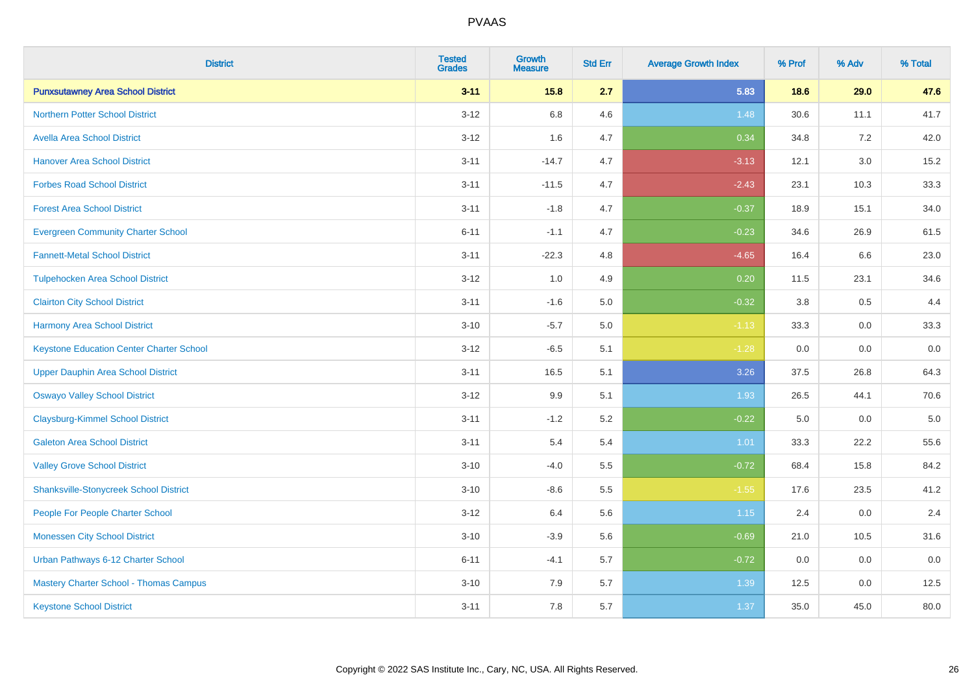| <b>District</b>                                 | <b>Tested</b><br><b>Grades</b> | <b>Growth</b><br><b>Measure</b> | <b>Std Err</b> | <b>Average Growth Index</b> | % Prof | % Adv | % Total |
|-------------------------------------------------|--------------------------------|---------------------------------|----------------|-----------------------------|--------|-------|---------|
| <b>Punxsutawney Area School District</b>        | $3 - 11$                       | 15.8                            | 2.7            | 5.83                        | 18.6   | 29.0  | 47.6    |
| <b>Northern Potter School District</b>          | $3 - 12$                       | $6.8\,$                         | 4.6            | 1.48                        | 30.6   | 11.1  | 41.7    |
| <b>Avella Area School District</b>              | $3 - 12$                       | 1.6                             | 4.7            | 0.34                        | 34.8   | 7.2   | 42.0    |
| <b>Hanover Area School District</b>             | $3 - 11$                       | $-14.7$                         | 4.7            | $-3.13$                     | 12.1   | 3.0   | 15.2    |
| <b>Forbes Road School District</b>              | $3 - 11$                       | $-11.5$                         | 4.7            | $-2.43$                     | 23.1   | 10.3  | 33.3    |
| <b>Forest Area School District</b>              | $3 - 11$                       | $-1.8$                          | 4.7            | $-0.37$                     | 18.9   | 15.1  | 34.0    |
| <b>Evergreen Community Charter School</b>       | $6 - 11$                       | $-1.1$                          | 4.7            | $-0.23$                     | 34.6   | 26.9  | 61.5    |
| <b>Fannett-Metal School District</b>            | $3 - 11$                       | $-22.3$                         | 4.8            | $-4.65$                     | 16.4   | 6.6   | 23.0    |
| <b>Tulpehocken Area School District</b>         | $3 - 12$                       | 1.0                             | 4.9            | 0.20                        | 11.5   | 23.1  | 34.6    |
| <b>Clairton City School District</b>            | $3 - 11$                       | $-1.6$                          | 5.0            | $-0.32$                     | 3.8    | 0.5   | 4.4     |
| <b>Harmony Area School District</b>             | $3 - 10$                       | $-5.7$                          | 5.0            | $-1.13$                     | 33.3   | 0.0   | 33.3    |
| <b>Keystone Education Center Charter School</b> | $3 - 12$                       | $-6.5$                          | 5.1            | $-1.28$                     | 0.0    | 0.0   | 0.0     |
| <b>Upper Dauphin Area School District</b>       | $3 - 11$                       | 16.5                            | 5.1            | 3.26                        | 37.5   | 26.8  | 64.3    |
| <b>Oswayo Valley School District</b>            | $3 - 12$                       | 9.9                             | 5.1            | 1.93                        | 26.5   | 44.1  | 70.6    |
| <b>Claysburg-Kimmel School District</b>         | $3 - 11$                       | $-1.2$                          | 5.2            | $-0.22$                     | 5.0    | 0.0   | $5.0\,$ |
| <b>Galeton Area School District</b>             | $3 - 11$                       | 5.4                             | 5.4            | 1.01                        | 33.3   | 22.2  | 55.6    |
| <b>Valley Grove School District</b>             | $3 - 10$                       | $-4.0$                          | 5.5            | $-0.72$                     | 68.4   | 15.8  | 84.2    |
| <b>Shanksville-Stonycreek School District</b>   | $3 - 10$                       | $-8.6$                          | 5.5            | $-1.55$                     | 17.6   | 23.5  | 41.2    |
| People For People Charter School                | $3 - 12$                       | 6.4                             | 5.6            | 1.15                        | 2.4    | 0.0   | 2.4     |
| <b>Monessen City School District</b>            | $3 - 10$                       | $-3.9$                          | 5.6            | $-0.69$                     | 21.0   | 10.5  | 31.6    |
| Urban Pathways 6-12 Charter School              | $6 - 11$                       | $-4.1$                          | 5.7            | $-0.72$                     | 0.0    | 0.0   | 0.0     |
| <b>Mastery Charter School - Thomas Campus</b>   | $3 - 10$                       | 7.9                             | 5.7            | 1.39                        | 12.5   | 0.0   | 12.5    |
| <b>Keystone School District</b>                 | $3 - 11$                       | 7.8                             | 5.7            | 1.37                        | 35.0   | 45.0  | 80.0    |